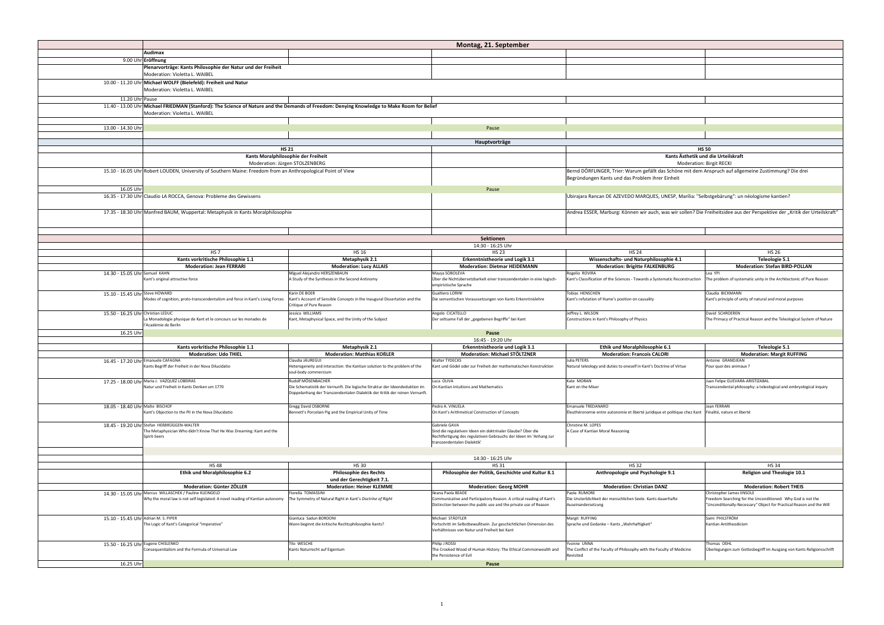|                                      |                                                                                                                                            |                                                                                                   | Montag, 21. Sept                                               |
|--------------------------------------|--------------------------------------------------------------------------------------------------------------------------------------------|---------------------------------------------------------------------------------------------------|----------------------------------------------------------------|
|                                      | Audimax                                                                                                                                    |                                                                                                   |                                                                |
|                                      | 9.00 Uhr Eröffnung                                                                                                                         |                                                                                                   |                                                                |
|                                      | Plenarvorträge: Kants Philosophie der Natur und der Freiheit                                                                               |                                                                                                   |                                                                |
|                                      | Moderation: Violetta L. WAIBEL                                                                                                             |                                                                                                   |                                                                |
|                                      | 10.00 - 11.20 Uhr Michael WOLFF (Bielefeld): Freiheit und Natur                                                                            |                                                                                                   |                                                                |
|                                      | Moderation: Violetta L. WAIBEL                                                                                                             |                                                                                                   |                                                                |
| 11.20 Uhr Pause                      |                                                                                                                                            |                                                                                                   |                                                                |
|                                      |                                                                                                                                            |                                                                                                   |                                                                |
|                                      | 11.40 - 13.00 Uhr Michael FRIEDMAN (Stanford): The Science of Nature and the Demands of Freedom: Denying Knowledge to Make Room for Belief |                                                                                                   |                                                                |
|                                      | Moderation: Violetta L. WAIBEL                                                                                                             |                                                                                                   |                                                                |
|                                      |                                                                                                                                            |                                                                                                   |                                                                |
| 13.00 - 14.30 Uhr                    |                                                                                                                                            |                                                                                                   | Pause                                                          |
|                                      |                                                                                                                                            |                                                                                                   |                                                                |
|                                      |                                                                                                                                            |                                                                                                   | Hauptvorträg                                                   |
|                                      |                                                                                                                                            | <b>HS 21</b>                                                                                      |                                                                |
|                                      |                                                                                                                                            | Kants Moralphilosophie der Freiheit                                                               |                                                                |
|                                      |                                                                                                                                            | Moderation: Jürgen STOLZENBERG                                                                    |                                                                |
|                                      | 15.10 - 16.05 Uhr Robert LOUDEN, University of Southern Maine: Freedom from an Anthropological Point of View                               |                                                                                                   |                                                                |
|                                      |                                                                                                                                            |                                                                                                   |                                                                |
|                                      |                                                                                                                                            |                                                                                                   |                                                                |
| 16.05 Uhr                            |                                                                                                                                            |                                                                                                   | Pause                                                          |
|                                      | 16.35 - 17.30 Uhr Claudio LA ROCCA, Genova: Probleme des Gewissens                                                                         |                                                                                                   |                                                                |
|                                      |                                                                                                                                            |                                                                                                   |                                                                |
|                                      | 17.35 - 18.30 Uhr Manfred BAUM, Wuppertal: Metaphysik in Kants Moralphilosophie                                                            |                                                                                                   |                                                                |
|                                      |                                                                                                                                            |                                                                                                   |                                                                |
|                                      |                                                                                                                                            |                                                                                                   |                                                                |
|                                      |                                                                                                                                            |                                                                                                   |                                                                |
|                                      |                                                                                                                                            |                                                                                                   | <b>Sektionen</b>                                               |
|                                      |                                                                                                                                            |                                                                                                   | 14:30 - 16:25 U                                                |
|                                      | HS <sub>7</sub>                                                                                                                            | <b>HS 16</b>                                                                                      | <b>HS 23</b>                                                   |
|                                      | Kants vorkritische Philosophie 1.1                                                                                                         | <b>Metaphysik 2.1</b>                                                                             | Erkenntnistheorie u                                            |
|                                      | <b>Moderation: Jean FERRARI</b>                                                                                                            | <b>Moderation: Lucy ALLAIS</b>                                                                    | <b>Moderation: Dietmar</b>                                     |
| 14.30 - 15.05 Uhr Samuel KAHN        |                                                                                                                                            | Miguel Alejandro HERSZENBAUN                                                                      | Mayya SOBOLEVA                                                 |
|                                      | Kant's original attractive force                                                                                                           | A Study of the Syntheses in the Second Antinomy                                                   | Über die Nichtübersetzbarkeit einer trans:                     |
|                                      |                                                                                                                                            |                                                                                                   | empiristische Sprache                                          |
| 15.10 - 15.45 Uhr Steve HOWARD       |                                                                                                                                            | Karin DE BOER                                                                                     | <b>Gualtiero LORINI</b>                                        |
|                                      | Modes of cognition, proto-transcendentalism and force in Kant's Living Forces                                                              | Kant's Account of Sensible Concepts in the Inaugural Dissertation and the                         | Die semantischen Voraussetzungen von Ka                        |
|                                      |                                                                                                                                            | Critique of Pure Reason                                                                           |                                                                |
| 15.50 - 16.25 Uhr Christian LEDUC    |                                                                                                                                            | Jessica WILLIAMS                                                                                  | Angelo CICATELLO                                               |
|                                      | La Monadologie physique de Kant et le concours sur les monades de                                                                          | Kant, Metaphysical Space, and the Unity of the Subject                                            | Der seltsame Fall der "gegebenen Begriffe                      |
|                                      | l'Académie de Berlin                                                                                                                       |                                                                                                   |                                                                |
| 16.25 Uhr                            |                                                                                                                                            |                                                                                                   | Pause                                                          |
|                                      |                                                                                                                                            |                                                                                                   | 16:45 - 19:20 U                                                |
|                                      | Kants vorkritische Philosophie 1.1                                                                                                         | <b>Metaphysik 2.1</b>                                                                             | Erkenntnistheorie u                                            |
|                                      | <b>Moderation: Udo THIEL</b>                                                                                                               | <b>Moderation: Matthias KOßLER</b>                                                                | <b>Moderation: Michae</b>                                      |
|                                      | 16.45 - 17.20 Uhr Emanuele CAFAGNA                                                                                                         | Claudia JÁUREGUI                                                                                  | <b>Walter TYDECKS</b>                                          |
|                                      | Kants Begriff der Freiheit in der Nova Dilucidatio                                                                                         | Heterogeneity and interaction: the Kantian solution to the problem of the<br>soul-body commercium | Kant und Gödel oder zur Freiheit der math                      |
|                                      |                                                                                                                                            |                                                                                                   |                                                                |
|                                      | 17.25 - 18.00 Uhr Maria J. VAZQUEZ LOBEIRAS                                                                                                | Rudolf MÖSENBACHER                                                                                | Luca OLIVA                                                     |
|                                      | Natur und Freiheit in Kants Denken um 1770                                                                                                 | Die Schematistik der Vernunft. Die logische Struktur der Ideendeduktion im                        | On Kantian Intuitions and Mathematics                          |
|                                      |                                                                                                                                            | Doppelanhang der Transzendentalen Dialektik der Kritik der reinen Vernunft.                       |                                                                |
|                                      |                                                                                                                                            |                                                                                                   |                                                                |
| 18.05 - 18.40 Uhr Malte BISCHOF      |                                                                                                                                            | <b>Gregg David OSBORNE</b>                                                                        | Pedro A. VINUELA<br>On Kant's Arithmetical Construction of Cor |
|                                      | Kant's Objection to the PII in the Nova Dilucidatio                                                                                        | Bennett's Porcelain Pig and the Empirical Unity of Time                                           |                                                                |
|                                      | 18.45 - 19.20 Uhr Stefan HEBBRÜGGEN-WALTER                                                                                                 |                                                                                                   | Gabriele GAVA                                                  |
|                                      | The Metaphysician Who didn't Know That He Was Dreaming: Kant and the                                                                       |                                                                                                   | Sind die regulativen Ideen ein doktrinaler                     |
|                                      | Spirit-Seers                                                                                                                               |                                                                                                   | Rechtfertigung des regulativen Gebrauchs                       |
|                                      |                                                                                                                                            |                                                                                                   | transzendentalen Dialektik'                                    |
|                                      |                                                                                                                                            |                                                                                                   |                                                                |
|                                      |                                                                                                                                            |                                                                                                   | 14:30 - 16:25 U                                                |
|                                      | <b>HS48</b>                                                                                                                                | <b>HS30</b>                                                                                       | <b>HS 31</b>                                                   |
|                                      | Ethik und Moralphilosophie 6.2                                                                                                             | <b>Philosophie des Rechts</b>                                                                     | Philosophie der Politik, Gescl                                 |
|                                      |                                                                                                                                            | und der Gerechtigkeit 7.1.                                                                        |                                                                |
|                                      | <b>Moderation: Günter ZÖLLER</b>                                                                                                           | <b>Moderation: Heiner KLEMME</b>                                                                  | <b>Moderation: Geo</b>                                         |
|                                      | 14.30 - 15.05 Uhr Marcus WILLASCHEK / Pauline KLEINGELD                                                                                    | Fiorella TOMASSINI                                                                                | Ileana Paola BEADE                                             |
|                                      | Why the moral law is not self-legislated: A novel reading of Kantian autonomy                                                              | The Symmetry of Natural Right in Kant's Doctrine of Right                                         | Communicative and Participatory Reason.                        |
|                                      |                                                                                                                                            |                                                                                                   | Distinction between the public use and the                     |
|                                      |                                                                                                                                            |                                                                                                   |                                                                |
| 15.10 - 15.45 Uhr Adrian M. S. PIPER |                                                                                                                                            | Gianluca Sadun BORDONI                                                                            | Michael STÄDTLER                                               |
|                                      | The Logic of Kant's Categorical "Imperative"                                                                                               | Wann beginnt die kritische Rechtsphilosophie Kants?                                               | Fortschritt im Selbstbewußtsein. Zur gesch                     |
|                                      |                                                                                                                                            |                                                                                                   | Verhältnisses von Natur und Freiheit bei K                     |
|                                      |                                                                                                                                            |                                                                                                   |                                                                |
| 15.50 - 16.25 Uhr Eugene CHISLENKO   |                                                                                                                                            | Tilo WESCHE                                                                                       | Philip J ROSSI                                                 |
|                                      | Consequentialism and the Formula of Universal Law                                                                                          | Kants Naturrecht auf Eigentum                                                                     | The Crooked Wood of Human History: The                         |
|                                      |                                                                                                                                            |                                                                                                   | the Persistence of Evil                                        |
| 16.25 Uhr                            |                                                                                                                                            |                                                                                                   | Pause                                                          |

|                                                                                                                                                            |                                                                                                                       | Montag, 21. September                                                                                                                                                            |                                                                                                                                                            |                                                                                                                                                                  |
|------------------------------------------------------------------------------------------------------------------------------------------------------------|-----------------------------------------------------------------------------------------------------------------------|----------------------------------------------------------------------------------------------------------------------------------------------------------------------------------|------------------------------------------------------------------------------------------------------------------------------------------------------------|------------------------------------------------------------------------------------------------------------------------------------------------------------------|
| <b>Audimax</b>                                                                                                                                             |                                                                                                                       |                                                                                                                                                                                  |                                                                                                                                                            |                                                                                                                                                                  |
| <b>Eröffnung</b><br>Plenarvorträge: Kants Philosophie der Natur und der Freiheit                                                                           |                                                                                                                       |                                                                                                                                                                                  |                                                                                                                                                            |                                                                                                                                                                  |
| Moderation: Violetta L. WAIBEL                                                                                                                             |                                                                                                                       |                                                                                                                                                                                  |                                                                                                                                                            |                                                                                                                                                                  |
| Michael WOLFF (Bielefeld): Freiheit und Natur<br>Moderation: Violetta L. WAIBEL                                                                            |                                                                                                                       |                                                                                                                                                                                  |                                                                                                                                                            |                                                                                                                                                                  |
| Pause                                                                                                                                                      |                                                                                                                       |                                                                                                                                                                                  |                                                                                                                                                            |                                                                                                                                                                  |
| Michael FRIEDMAN (Stanford): The Science of Nature and the Demands of Freedom: Denying Knowledge to Make Room for Belief<br>Moderation: Violetta L. WAIBEL |                                                                                                                       |                                                                                                                                                                                  |                                                                                                                                                            |                                                                                                                                                                  |
|                                                                                                                                                            |                                                                                                                       |                                                                                                                                                                                  |                                                                                                                                                            |                                                                                                                                                                  |
|                                                                                                                                                            |                                                                                                                       | Pause                                                                                                                                                                            |                                                                                                                                                            |                                                                                                                                                                  |
|                                                                                                                                                            |                                                                                                                       | Hauptvorträge                                                                                                                                                                    |                                                                                                                                                            |                                                                                                                                                                  |
| <b>HS 21</b><br>Kants Moralphilosophie der Freiheit                                                                                                        |                                                                                                                       |                                                                                                                                                                                  | <b>HS 50</b><br>Kants Ästhetik und die Urteilskraft                                                                                                        |                                                                                                                                                                  |
| Moderation: Jürgen STOLZENBERG<br>Moderation: Birgit RECKI                                                                                                 |                                                                                                                       |                                                                                                                                                                                  |                                                                                                                                                            |                                                                                                                                                                  |
| Robert LOUDEN, University of Southern Maine: Freedom from an Anthropological Point of View                                                                 |                                                                                                                       |                                                                                                                                                                                  | Bernd DÖRFLINGER, Trier: Warum gefällt das Schöne mit dem Anspruch auf allgemeine Zustimmung? Die drei<br>Begründungen Kants und das Problem ihrer Einheit |                                                                                                                                                                  |
|                                                                                                                                                            |                                                                                                                       | Pause                                                                                                                                                                            |                                                                                                                                                            |                                                                                                                                                                  |
| Claudio LA ROCCA, Genova: Probleme des Gewissens                                                                                                           |                                                                                                                       |                                                                                                                                                                                  | Ubirajara Rancan DE AZEVEDO MARQUES, UNESP, Marília: "Selbstgebärung": un néologisme kantien?                                                              |                                                                                                                                                                  |
| Manfred BAUM, Wuppertal: Metaphysik in Kants Moralphilosophie                                                                                              |                                                                                                                       |                                                                                                                                                                                  | Andrea ESSER, Marburg: Können wir auch, was wir sollen? Die Freiheitsidee aus der Perspektive der "Kritik der Urteilskraft"                                |                                                                                                                                                                  |
|                                                                                                                                                            |                                                                                                                       |                                                                                                                                                                                  |                                                                                                                                                            |                                                                                                                                                                  |
|                                                                                                                                                            |                                                                                                                       | <b>Sektionen</b>                                                                                                                                                                 |                                                                                                                                                            |                                                                                                                                                                  |
|                                                                                                                                                            |                                                                                                                       | 14:30 - 16:25 Uhr                                                                                                                                                                |                                                                                                                                                            |                                                                                                                                                                  |
| <b>HS 7</b>                                                                                                                                                | <b>HS 16</b>                                                                                                          | <b>HS 23</b>                                                                                                                                                                     | <b>HS 24</b>                                                                                                                                               | <b>HS 26</b>                                                                                                                                                     |
| Kants vorkritische Philosophie 1.1                                                                                                                         | <b>Metaphysik 2.1</b>                                                                                                 | <b>Erkenntnistheorie und Logik 3.1</b>                                                                                                                                           | Wissenschafts- und Naturphilosophie 4.1                                                                                                                    | Teleologie 5.1                                                                                                                                                   |
| <b>Moderation: Jean FERRARI</b>                                                                                                                            | <b>Moderation: Lucy ALLAIS</b>                                                                                        | <b>Moderation: Dietmar HEIDEMANN</b>                                                                                                                                             | <b>Moderation: Brigitte FALKENBURG</b>                                                                                                                     | <b>Moderation: Stefan BIRD-POLLAN</b>                                                                                                                            |
| Samuel KAHN<br>Kant's original attractive force                                                                                                            | Miguel Alejandro HERSZENBAUN<br>A Study of the Syntheses in the Second Antinomy                                       | Mayya SOBOLEVA<br>Über die Nichtübersetzbarkeit einer transzendentalen in eine logisch-<br>empiristische Sprache                                                                 | Rogelio ROVIRA<br>Kant's Classification of the Sciences - Towards a Systematic Reconstruction                                                              | Lea YPI<br>he problem of systematic unity in the Architectonic of Pure Reason                                                                                    |
| Steve HOWARD<br>Modes of cognition, proto-transcendentalism and force in Kant's Living Forces                                                              | Karin DE BOER<br>Kant's Account of Sensible Concepts in the Inaugural Dissertation and the<br>Critique of Pure Reason | <b>Gualtiero LORINI</b><br>Die semantischen Voraussetzungen von Kants Erkenntnislehre                                                                                            | Tobias HENSCHEN<br>Kant's refutation of Hume's position on causality                                                                                       | Claudia BICKMANN<br>Kant's principle of unity of natural and moral purposes                                                                                      |
| Christian LEDUC<br>La Monadologie physique de Kant et le concours sur les monades de                                                                       | Jessica WILLIAMS<br>Kant, Metaphysical Space, and the Unity of the Subject                                            | Angelo CICATELLO<br>Der seltsame Fall der "gegebenen Begriffe" bei Kant                                                                                                          | Jeffrey L. WILSON<br>Constructions in Kant's Philosophy of Physics                                                                                         | David SCHROEREN<br>The Primacy of Practical Reason and the Teleological System of Nature                                                                         |
| l'Académie de Berlin                                                                                                                                       |                                                                                                                       | Pause                                                                                                                                                                            |                                                                                                                                                            |                                                                                                                                                                  |
|                                                                                                                                                            |                                                                                                                       | 16:45 - 19:20 Uhr                                                                                                                                                                |                                                                                                                                                            |                                                                                                                                                                  |
| Kants vorkritische Philosophie 1.1                                                                                                                         | <b>Metaphysik 2.1</b>                                                                                                 | <b>Erkenntnistheorie und Logik 3.1</b>                                                                                                                                           | Ethik und Moralphilosophie 6.1                                                                                                                             | Teleologie 5.1                                                                                                                                                   |
| <b>Moderation: Udo THIEL</b>                                                                                                                               | <b>Moderation: Matthias KOBLER</b>                                                                                    | <b>Moderation: Michael STÖLTZNER</b>                                                                                                                                             | <b>Moderation: Francois CALORI</b>                                                                                                                         | <b>Moderation: Margit RUFFING</b>                                                                                                                                |
| Emanuele CAFAGNA<br>Kants Begriff der Freiheit in der Nova Dilucidatio                                                                                     | Claudia JÁUREGUI<br>Heterogeneity and interaction: the Kantian solution to the problem of the<br>soul-body commercium | <b>Walter TYDECKS</b><br>Kant und Gödel oder zur Freiheit der mathematischen Konstruktion                                                                                        | Julia PETERS<br>Natural teleology and duties to oneself in Kant's Doctrine of Virtue                                                                       | Antoine GRANDJEAN<br>Pour quoi des animaux ?                                                                                                                     |
| Maria J. VAZQUEZ LOBEIRAS<br>Natur und Freiheit in Kants Denken um 1770                                                                                    | Rudolf MÖSENBACHER<br>Die Schematistik der Vernunft. Die logische Struktur der Ideendeduktion im                      | Luca OLIVA<br>On Kantian Intuitions and Mathematics                                                                                                                              | Kate MORAN<br>Kant on the Miser                                                                                                                            | Juan Felipe GUEVARA-ARISTIZABAL<br>Transcendental philosophy: a teleological and embryological inquiry                                                           |
|                                                                                                                                                            | Doppelanhang der Transzendentalen Dialektik der Kritik der reinen Vernunft.                                           |                                                                                                                                                                                  |                                                                                                                                                            |                                                                                                                                                                  |
| Malte BISCHOF<br>Kant's Objection to the PII in the Nova Dilucidatio                                                                                       | Gregg David OSBORNE<br>Bennett's Porcelain Pig and the Empirical Unity of Time                                        | Pedro A. VINUELA<br>On Kant's Arithmetical Construction of Concepts                                                                                                              | <b>Emanuele TREDANARO</b><br>Éleuthéronomie entre autonomie et liberté juridique et politique chez Kant                                                    | Jean FERRARI<br>Finalité, nature et liberté                                                                                                                      |
| Stefan HEßBRÜGGEN-WALTER<br>The Metaphysician Who didn't Know That He Was Dreaming: Kant and the<br>Spirit-Seers                                           |                                                                                                                       | Gabriele GAVA<br>Sind die regulativen Ideen ein doktrinaler Glaube? Über die<br>Rechtfertigung des regulativen Gebrauchs der Ideen im 'Anhang zur<br>transzendentalen Dialektik' | Christine M. LOPES<br>A Case of Kantian Moral Reasoning                                                                                                    |                                                                                                                                                                  |
|                                                                                                                                                            |                                                                                                                       |                                                                                                                                                                                  |                                                                                                                                                            |                                                                                                                                                                  |
|                                                                                                                                                            |                                                                                                                       | 14:30 - 16:25 Uhr                                                                                                                                                                |                                                                                                                                                            |                                                                                                                                                                  |
| <b>HS48</b>                                                                                                                                                | <b>HS 30</b>                                                                                                          | <b>HS31</b>                                                                                                                                                                      | <b>HS32</b>                                                                                                                                                | <b>HS34</b>                                                                                                                                                      |
| <b>Ethik und Moralphilosophie 6.2</b>                                                                                                                      | <b>Philosophie des Rechts</b><br>und der Gerechtigkeit 7.1.                                                           | Philosophie der Politik, Geschichte und Kultur 8.1                                                                                                                               | Anthropologie und Psychologie 9.1                                                                                                                          | <b>Religion und Theologie 10.1</b>                                                                                                                               |
| <b>Moderation: Günter ZÖLLER</b>                                                                                                                           | <b>Moderation: Heiner KLEMME</b>                                                                                      | <b>Moderation: Georg MOHR</b>                                                                                                                                                    | <b>Moderation: Christian DANZ</b>                                                                                                                          | <b>Moderation: Robert THEIS</b>                                                                                                                                  |
| Marcus WILLASCHEK / Pauline KLEINGELD<br>Why the moral law is not self-legislated: A novel reading of Kantian autonomy                                     | Fiorella TOMASSINI<br>The Symmetry of Natural Right in Kant's Doctrine of Right                                       | Ileana Paola BEADE<br>Communicative and Participatory Reason. A critical reading of Kant's<br>Distinction between the public use and the private use of Reason                   | Paola RUMORE<br>Die Unsterblichkeit der menschlichen Seele. Kants dauerhafte<br>Auseinandersetzung                                                         | Christopher James IINSOLE<br>Freedom Searching for the Unconditioned: Why God is not the<br>"Unconditionally-Necessary" Object for Practical Reason and the Will |
| Adrian M. S. PIPER                                                                                                                                         | Gianluca Sadun BORDONI                                                                                                | Michael STÄDTLER                                                                                                                                                                 | Margit RUFFING                                                                                                                                             | Sami PHILSTRÖM                                                                                                                                                   |
| The Logic of Kant's Categorical "Imperative"                                                                                                               | Wann beginnt die kritische Rechtsphilosophie Kants?                                                                   | Fortschritt im Selbstbewußtsein. Zur geschichtlichen Dimension des<br>Verhältnisses von Natur und Freiheit bei Kant                                                              | Sprache und Gedanke - Kants "Wahrhaftigkeit"                                                                                                               | Kantian Antitheodicism                                                                                                                                           |
| Eugene CHISLENKO<br>Consequentialism and the Formula of Universal Law                                                                                      | Tilo WESCHE<br>Kants Naturrecht auf Eigentum                                                                          | Philip J ROSSI<br>The Crooked Wood of Human History: The Ethical Commonwealth and<br>the Persistence of Evil                                                                     | Yvonne UNNA<br>The Conflict of the Faculty of Philosophy with the Faculty of Medicine<br> Revisited                                                        | Thomas OEHL<br>Überlegungen zum Gottesbegriff im Ausgang von Kants Religionsschrift                                                                              |
|                                                                                                                                                            |                                                                                                                       | Pause                                                                                                                                                                            |                                                                                                                                                            |                                                                                                                                                                  |
|                                                                                                                                                            |                                                                                                                       |                                                                                                                                                                                  |                                                                                                                                                            |                                                                                                                                                                  |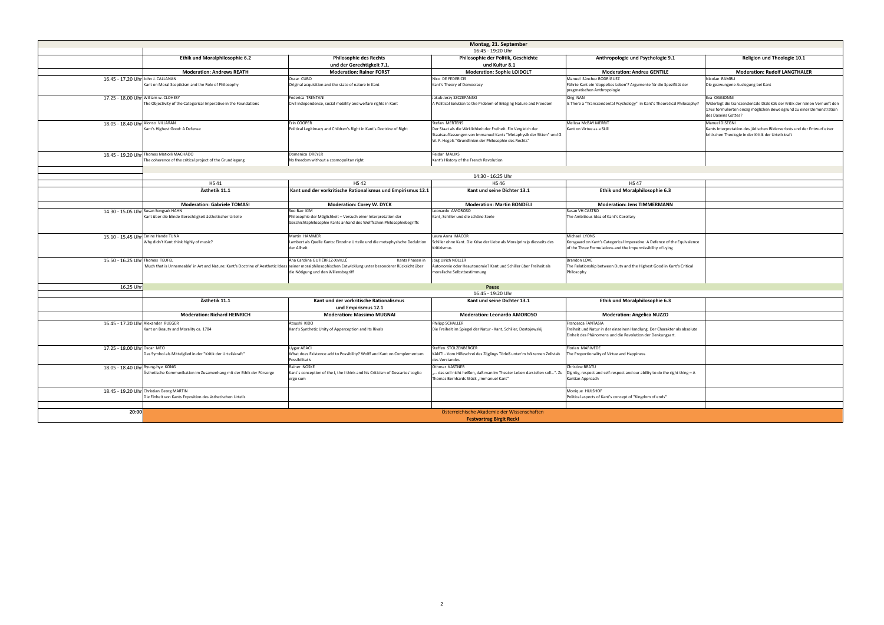|                                      |                                                                                                                                                         |                                                                                                                                         | Montag, 21. September                                                                                                                                                                                             |                                                                                                                                             |
|--------------------------------------|---------------------------------------------------------------------------------------------------------------------------------------------------------|-----------------------------------------------------------------------------------------------------------------------------------------|-------------------------------------------------------------------------------------------------------------------------------------------------------------------------------------------------------------------|---------------------------------------------------------------------------------------------------------------------------------------------|
|                                      |                                                                                                                                                         |                                                                                                                                         | 16:45 - 19:20 Uhr                                                                                                                                                                                                 |                                                                                                                                             |
|                                      | <b>Ethik und Moralphilosophie 6.2</b>                                                                                                                   | <b>Philosophie des Rechts</b>                                                                                                           | Philosophie der Politik, Geschichte                                                                                                                                                                               | Anthropologie und Psychologie 9.                                                                                                            |
|                                      |                                                                                                                                                         | und der Gerechtigkeit 7.1.                                                                                                              | und Kultur 8.1                                                                                                                                                                                                    |                                                                                                                                             |
|                                      | <b>Moderation: Andrews REATH</b>                                                                                                                        | <b>Moderation: Rainer FORST</b>                                                                                                         | <b>Moderation: Sophie LOIDOLT</b>                                                                                                                                                                                 | <b>Moderation: Andrea GENTILE</b>                                                                                                           |
| 16.45 - 17.20 Uhr John J. CALLANAN   | Kant on Moral Scepticism and the Role of Philosophy                                                                                                     | Oscar CUBO<br>Original acquisition and the state of nature in Kant                                                                      | Nico DE FEDERICIS<br>Kant's Theory of Democracy                                                                                                                                                                   | Manuel Sánchez RODRÍGUEZ<br>Führte Kant ein 'doppeltes Leben'? Argumente für die Spez<br>pragmatischen Anthropologie                        |
| 17.25 - 18.00 Uhr William w. CLOHESY | The Objectivity of the Categorical Imperative in the Foundations                                                                                        | Federica TRENTANI<br>Civil independence, social mobility and welfare rights in Kant                                                     | Jakub Jerzy SZCZEPANSKI<br>A Political Solution to the Problem of Bridging Nature and Freedom                                                                                                                     | Xing NAN<br>Is There a "Transcendental Psychology" in Kant's Theoretic                                                                      |
| 18.05 - 18.40 Uhr Alonso VILLARÁN    | Kant's Highest Good: A Defense                                                                                                                          | Erin COOPER<br>Political Legitimacy and Children's Right in Kant's Doctrine of Right                                                    | Stefan MERTENS<br>Der Staat als die Wirklichkeit der Freiheit. Ein Vergleich der<br>Staatsauffassungen von Immanuel Kants "Metaphysik der Sitten" und G.<br>W. F. Hegels "Grundlinien der Philosophie des Rechts" | Melissa McBAY MERRIT<br>Kant on Virtue as a Skill                                                                                           |
|                                      | 18.45 - 19.20 Uhr Thomas Matiolli MACHADO                                                                                                               | Domenica DREYER                                                                                                                         | Reidar MALIKS                                                                                                                                                                                                     |                                                                                                                                             |
|                                      | The coherence of the critical project of the Grundlegung                                                                                                | No freedom without a cosmopolitan right                                                                                                 | Kant's History of the French Revolution                                                                                                                                                                           |                                                                                                                                             |
|                                      |                                                                                                                                                         |                                                                                                                                         |                                                                                                                                                                                                                   |                                                                                                                                             |
|                                      |                                                                                                                                                         |                                                                                                                                         |                                                                                                                                                                                                                   |                                                                                                                                             |
|                                      |                                                                                                                                                         |                                                                                                                                         | 14:30 - 16:25 Uhr                                                                                                                                                                                                 |                                                                                                                                             |
|                                      | <b>HS41</b>                                                                                                                                             | <b>HS42</b>                                                                                                                             | <b>HS46</b>                                                                                                                                                                                                       | <b>HS47</b>                                                                                                                                 |
|                                      | Ästhetik 11.1                                                                                                                                           | Kant und der vorkritische Rationalismus und Empirismus 12.1                                                                             | Kant und seine Dichter 13.1                                                                                                                                                                                       | Ethik und Moralphilosophie 6.3                                                                                                              |
|                                      | <b>Moderation: Gabriele TOMASI</b>                                                                                                                      | <b>Moderation: Corey W. DYCK</b>                                                                                                        | <b>Moderation: Martin BONDELI</b>                                                                                                                                                                                 | <b>Moderation: Jens TIMMERMANN</b>                                                                                                          |
|                                      |                                                                                                                                                         | Soo Bae KIM                                                                                                                             | Leonardo AMOROSO                                                                                                                                                                                                  | Susan VH CASTRO                                                                                                                             |
|                                      | 14.30 - 15.05 Uhr Susan Songsuk HAHN                                                                                                                    |                                                                                                                                         | Kant, Schiller und die schöne Seele                                                                                                                                                                               |                                                                                                                                             |
|                                      | Kant über die blinde Gerechtigkeit ästhetischer Urteile                                                                                                 | Philosophie der Möglichkeit - Versuch einer Interpretation der<br>Geschichtsphilosophie Kants anhand des Wolffschen Philosophiebegriffs |                                                                                                                                                                                                                   | The Ambitious Idea of Kant's Corollary                                                                                                      |
|                                      |                                                                                                                                                         |                                                                                                                                         |                                                                                                                                                                                                                   |                                                                                                                                             |
|                                      |                                                                                                                                                         |                                                                                                                                         |                                                                                                                                                                                                                   |                                                                                                                                             |
| 15.10 - 15.45 Uhr Emine Hande TUNA   | Why didn't Kant think highly of music?                                                                                                                  | Martin HAMMER<br>Lambert als Quelle Kants: Einzelne Urteile und die metaphysische Deduktion<br>der Allheit                              | Laura Anna MACOR<br>Schiller ohne Kant. Die Krise der Liebe als Moralprinzip diesseits des<br>Kritizismus                                                                                                         | Michael LYONS<br>Korsgaard on Kant's Categorical Imperative: A Defence of t<br>of the Three Formulations and the Impermissibility of Lying  |
| 15.50 - 16.25 Uhr Thomas TEUFEL      |                                                                                                                                                         | Ana Carolina GUTIÉRREZ-XIVILLÉ<br>Kants Phasen in                                                                                       | Jörg Ulrich NOLLER                                                                                                                                                                                                | Brandon LOVE                                                                                                                                |
|                                      | 'Much that is Unnameable' in Art and Nature: Kant's Doctrine of Aesthetic Ideas seiner moralphilosophischen Entwicklung unter besonderer Rücksicht über | die Nötigung und den Willensbegriff                                                                                                     | Autonomie oder Heautonomie? Kant und Schiller über Freiheit als<br>moralische Selbstbestimmung                                                                                                                    | The Relationship between Duty and the Highest Good in Ka<br>Philosophy                                                                      |
| 16.25 Uhr                            |                                                                                                                                                         |                                                                                                                                         | Pause                                                                                                                                                                                                             |                                                                                                                                             |
|                                      |                                                                                                                                                         |                                                                                                                                         | 16:45 - 19:20 Uhr                                                                                                                                                                                                 |                                                                                                                                             |
|                                      | Ästhetik 11.1                                                                                                                                           | Kant und der vorkritische Rationalismus                                                                                                 | Kant und seine Dichter 13.1                                                                                                                                                                                       | Ethik und Moralphilosophie 6.3                                                                                                              |
|                                      |                                                                                                                                                         | und Empirismus 12.1                                                                                                                     |                                                                                                                                                                                                                   |                                                                                                                                             |
|                                      | <b>Moderation: Richard HEINRICH</b>                                                                                                                     | <b>Moderation: Massimo MUGNAI</b>                                                                                                       | <b>Moderation: Leonardo AMOROSO</b>                                                                                                                                                                               | <b>Moderation: Angelica NUZZO</b>                                                                                                           |
|                                      |                                                                                                                                                         |                                                                                                                                         |                                                                                                                                                                                                                   |                                                                                                                                             |
| 16.45 - 17.20 Uhr Alexander RUEGER   | Kant on Beauty and Morality ca. 1784                                                                                                                    | Atsushi KIDO<br>Kant's Synthetic Unity of Apperception and Its Rivals                                                                   | <b>Philipp SCHALLER</b><br>Die Freiheit im Spiegel der Natur - Kant, Schiller, Dostojewskij                                                                                                                       | Francesca FANTASIA<br>Freiheit und Natur in der einzelnen Handlung. Der Charakte<br>Einheit des Phänomens und die Revolution der Denkungsar |
| 17.25 - 18.00 Uhr Oscar MEO          |                                                                                                                                                         | Uygar ABACI                                                                                                                             | Steffen STOLZENBERGER                                                                                                                                                                                             | Florian MARWEDE                                                                                                                             |
|                                      | Das Symbol als Mittelglied in der "Kritik der Urteilskraft"                                                                                             | What does Existence add to Possibility? Wolff and Kant on Complementum<br>Possibilitatis                                                | KANT! - Vom Hilfeschrei des Zöglings Törleß unter'm hölzernen Zollstab<br>des Verstandes                                                                                                                          | The Proportionality of Virtue and Happiness                                                                                                 |
| 18.05 - 18.40 Uhr Byung-hye KONG     | Ästhetische Kommunikation im Zusamenhang mit der Ethik der Fürsorge                                                                                     | Rainer NOSKE<br>Kant's conception of the I, the I think and his Criticism of Descartes' cogito<br>ergo sum                              | Othmar KASTNER<br>das soll nicht heißen, daß man im Theater Leben darstellen soll". Zu<br>Thomas Bernhards Stück "Immanuel Kant"                                                                                  | Christine BRATU<br>Dignity, respect and self-respect and our ability to do the ri<br>Kantian Approach                                       |
|                                      | 18.45 - 19.20 Uhr Christian Georg MARTIN<br>Die Einheit von Kants Exposition des ästhetischen Urteils                                                   |                                                                                                                                         |                                                                                                                                                                                                                   | Monique HULSHOF<br>Political aspects of Kant's concept of "Kingdom of ends"                                                                 |
|                                      |                                                                                                                                                         |                                                                                                                                         |                                                                                                                                                                                                                   |                                                                                                                                             |
| 20:00                                |                                                                                                                                                         |                                                                                                                                         | Österreichische Akademie der Wissenschaften                                                                                                                                                                       |                                                                                                                                             |
|                                      |                                                                                                                                                         |                                                                                                                                         | <b>Festvortrag Birgit Recki</b>                                                                                                                                                                                   |                                                                                                                                             |

| <b>Montag, 21. September</b>                      |                                                                                                                                                                             |                                                                                                                                                                                                                   |                                                                                                                                                                          |                                                                                                                                                                                            |
|---------------------------------------------------|-----------------------------------------------------------------------------------------------------------------------------------------------------------------------------|-------------------------------------------------------------------------------------------------------------------------------------------------------------------------------------------------------------------|--------------------------------------------------------------------------------------------------------------------------------------------------------------------------|--------------------------------------------------------------------------------------------------------------------------------------------------------------------------------------------|
|                                                   |                                                                                                                                                                             | 16:45 - 19:20 Uhr                                                                                                                                                                                                 |                                                                                                                                                                          |                                                                                                                                                                                            |
| thik und Moralphilosophie 6.2                     | <b>Philosophie des Rechts</b>                                                                                                                                               | Philosophie der Politik, Geschichte                                                                                                                                                                               | Anthropologie und Psychologie 9.1                                                                                                                                        | Religion und Theologie 10.1                                                                                                                                                                |
|                                                   | und der Gerechtigkeit 7.1.                                                                                                                                                  | und Kultur 8.1                                                                                                                                                                                                    |                                                                                                                                                                          |                                                                                                                                                                                            |
| <b>Moderation: Andrews REATH</b>                  | <b>Moderation: Rainer FORST</b>                                                                                                                                             | <b>Moderation: Sophie LOIDOLT</b>                                                                                                                                                                                 | <b>Moderation: Andrea GENTILE</b>                                                                                                                                        | <b>Moderation: Rudolf LANGTHALER</b>                                                                                                                                                       |
| ism and the Role of Philosophy                    | Oscar CUBO<br>Original acquisition and the state of nature in Kant                                                                                                          | Nico DE FEDERICIS<br>Kant's Theory of Democracy                                                                                                                                                                   | Manuel Sánchez RODRÍGUEZ<br>Führte Kant ein 'doppeltes Leben'? Argumente für die Spezifität der<br>pragmatischen Anthropologie                                           | Nicolae RAMBL<br>Die gezwungene Auslegung bei Kant                                                                                                                                         |
| Categorical Imperative in the Foundations         | Federica TRENTANI<br>Civil independence, social mobility and welfare rights in Kant                                                                                         | Jakub Jerzy SZCZEPANSKI<br>A Political Solution to the Problem of Bridging Nature and Freedom                                                                                                                     | Xing NAN<br>Is There a "Transcendental Psychology" in Kant's Theoretical Philosophy?                                                                                     | Eva OGGIONNI<br>Widerlegt die transzendentale Dialektik der Kritik der reinen Vernunft den<br>1763 formulierten einzig möglichen Beweisgrund zu einer Demonstration<br>des Daseins Gottes? |
| A Defense                                         | Erin COOPER<br>Political Legitimacy and Children's Right in Kant's Doctrine of Right                                                                                        | Stefan MERTENS<br>Der Staat als die Wirklichkeit der Freiheit. Ein Vergleich der<br>Staatsauffassungen von Immanuel Kants "Metaphysik der Sitten" und G.<br>W. F. Hegels "Grundlinien der Philosophie des Rechts" | Melissa McBAY MERRIT<br>Kant on Virtue as a Skill                                                                                                                        | Manuel DISEGNI<br>Kants Interpretation des jüdischen Bilderverbots und der Entwurf einer<br>kritischen Theologie in der Kritik der Urteilskraft                                            |
| <b>HADO</b>                                       | Domenica DREYER                                                                                                                                                             | Reidar MALIKS                                                                                                                                                                                                     |                                                                                                                                                                          |                                                                                                                                                                                            |
| critical project of the Grundlegung               | No freedom without a cosmopolitan right                                                                                                                                     | Kant's History of the French Revolution                                                                                                                                                                           |                                                                                                                                                                          |                                                                                                                                                                                            |
|                                                   |                                                                                                                                                                             |                                                                                                                                                                                                                   |                                                                                                                                                                          |                                                                                                                                                                                            |
|                                                   |                                                                                                                                                                             | 14:30 - 16:25 Uhr                                                                                                                                                                                                 |                                                                                                                                                                          |                                                                                                                                                                                            |
| <b>HS41</b>                                       | <b>HS42</b>                                                                                                                                                                 | <b>HS46</b>                                                                                                                                                                                                       | <b>HS47</b>                                                                                                                                                              |                                                                                                                                                                                            |
| Ästhetik 11.1                                     | Kant und der vorkritische Rationalismus und Empirismus 12.1                                                                                                                 | Kant und seine Dichter 13.1                                                                                                                                                                                       | Ethik und Moralphilosophie 6.3                                                                                                                                           |                                                                                                                                                                                            |
|                                                   |                                                                                                                                                                             |                                                                                                                                                                                                                   |                                                                                                                                                                          |                                                                                                                                                                                            |
| <b>Moderation: Gabriele TOMASI</b>                | <b>Moderation: Corey W. DYCK</b>                                                                                                                                            | <b>Moderation: Martin BONDELI</b>                                                                                                                                                                                 | <b>Moderation: Jens TIMMERMANN</b>                                                                                                                                       |                                                                                                                                                                                            |
| Gerechtigkeit ästhetischer Urteile                | Soo Bae KIM<br>Philosophie der Möglichkeit - Versuch einer Interpretation der<br>Geschichtsphilosophie Kants anhand des Wolffschen Philosophiebegriffs                      | Leonardo AMOROSO<br>Kant, Schiller und die schöne Seele                                                                                                                                                           | Susan VH CASTRO<br>The Ambitious Idea of Kant's Corollary                                                                                                                |                                                                                                                                                                                            |
| highly of music?                                  | Martin HAMMER<br>Lambert als Quelle Kants: Einzelne Urteile und die metaphysische Deduktion<br>der Allheit<br>Ana Carolina GUTIÉRREZ-XIVILLÉ                                | Laura Anna MACOR<br>Schiller ohne Kant. Die Krise der Liebe als Moralprinzip diesseits des<br>Kritizismus<br>Kants Phasen in Jörg Ulrich NOLLER                                                                   | Michael LYONS<br>Korsgaard on Kant's Categorical Imperative: A Defence of the Equivalence<br>of the Three Formulations and the Impermissibility of Lying<br>Brandon LOVE |                                                                                                                                                                                            |
|                                                   | eable' in Art and Nature: Kant's Doctrine of Aesthetic Ideas seiner moralphilosophischen Entwicklung unter besonderer Rücksicht über<br>die Nötigung und den Willensbegriff | Autonomie oder Heautonomie? Kant und Schiller über Freiheit als<br>moralische Selbstbestimmung                                                                                                                    | The Relationship between Duty and the Highest Good in Kant's Critical<br>Philosophy                                                                                      |                                                                                                                                                                                            |
|                                                   |                                                                                                                                                                             | Pause                                                                                                                                                                                                             |                                                                                                                                                                          |                                                                                                                                                                                            |
|                                                   |                                                                                                                                                                             | 16:45 - 19:20 Uhr                                                                                                                                                                                                 |                                                                                                                                                                          |                                                                                                                                                                                            |
| Ästhetik 11.1                                     | Kant und der vorkritische Rationalismus<br>und Empirismus 12.1                                                                                                              | Kant und seine Dichter 13.1<br><b>Moderation: Leonardo AMOROSO</b>                                                                                                                                                | Ethik und Moralphilosophie 6.3                                                                                                                                           |                                                                                                                                                                                            |
| <b>Moderation: Richard HEINRICH</b>               | <b>Moderation: Massimo MUGNAI</b>                                                                                                                                           |                                                                                                                                                                                                                   | <b>Moderation: Angelica NUZZO</b>                                                                                                                                        |                                                                                                                                                                                            |
| 1orality ca. 1784                                 | Atsushi KIDO<br>Kant's Synthetic Unity of Apperception and Its Rivals                                                                                                       | Philipp SCHALLER<br>Die Freiheit im Spiegel der Natur - Kant, Schiller, Dostojewskij                                                                                                                              | <b>Francesca FANTASIA</b><br>Freiheit und Natur in der einzelnen Handlung. Der Charakter als absolute<br>Einheit des Phänomens und die Revolution der Denkungsart.       |                                                                                                                                                                                            |
| glied in der "Kritik der Urteilskraft"            | <b>Uygar ABACI</b><br>What does Existence add to Possibility? Wolff and Kant on Complementum<br>Possibilitatis                                                              | Steffen STOLZENBERGER<br>KANT! - Vom Hilfeschrei des Zöglings Törleß unter'm hölzernen Zollstab<br>des Verstandes                                                                                                 | Florian MARWEDE<br>The Proportionality of Virtue and Happiness                                                                                                           |                                                                                                                                                                                            |
| ikation im Zusamenhang mit der Ethik der Fürsorge | Rainer NOSKE<br>Kant's conception of the I, the I think and his Criticism of Descartes' cogito<br>ergo sum                                                                  | Othmar KASTNER<br>das soll nicht heißen, daß man im Theater Leben darstellen soll". Zu<br>Thomas Bernhards Stück "Immanuel Kant"                                                                                  | Christine BRATU<br>Dignity, respect and self-respect and our ability to do the right thing $-A$<br>Kantian Approach                                                      |                                                                                                                                                                                            |
| ΓIΝ<br>Exposition des ästhetischen Urteils        |                                                                                                                                                                             |                                                                                                                                                                                                                   | Monique HULSHOF<br>Political aspects of Kant's concept of "Kingdom of ends"                                                                                              |                                                                                                                                                                                            |
|                                                   |                                                                                                                                                                             |                                                                                                                                                                                                                   |                                                                                                                                                                          |                                                                                                                                                                                            |
|                                                   |                                                                                                                                                                             | Österreichische Akademie der Wissenschaften                                                                                                                                                                       |                                                                                                                                                                          |                                                                                                                                                                                            |
| <b>Festvortrag Birgit Recki</b>                   |                                                                                                                                                                             |                                                                                                                                                                                                                   |                                                                                                                                                                          |                                                                                                                                                                                            |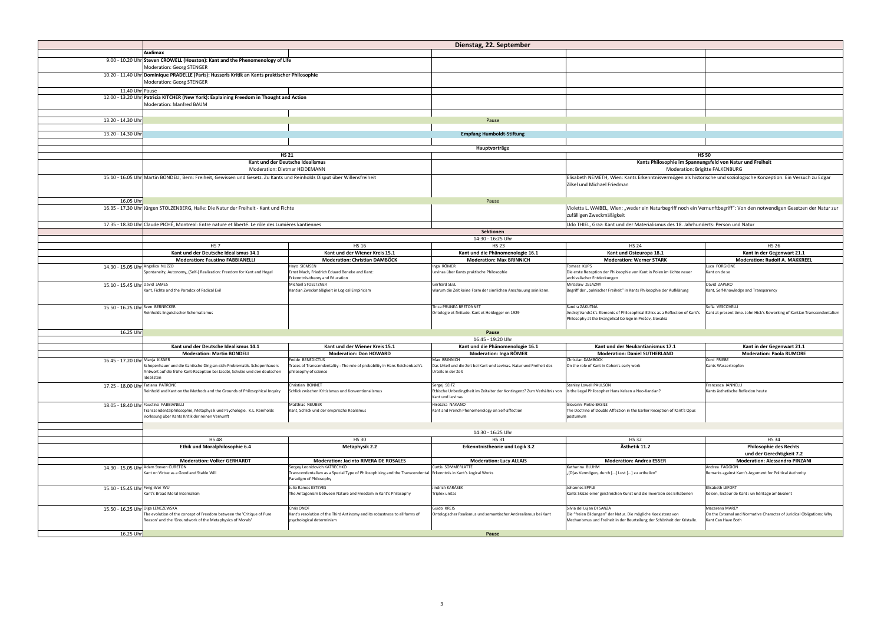|                                   |                                                                                                                           |                                                                                                                 | Dienstag, 22. September                                                                |                                                                                                                     |                                                                                                                         |
|-----------------------------------|---------------------------------------------------------------------------------------------------------------------------|-----------------------------------------------------------------------------------------------------------------|----------------------------------------------------------------------------------------|---------------------------------------------------------------------------------------------------------------------|-------------------------------------------------------------------------------------------------------------------------|
|                                   | <b>Audimax</b>                                                                                                            |                                                                                                                 |                                                                                        |                                                                                                                     |                                                                                                                         |
|                                   | 9.00 - 10.20 Uhr Steven CROWELL (Houston): Kant and the Phenomenology of Life                                             |                                                                                                                 |                                                                                        |                                                                                                                     |                                                                                                                         |
|                                   | <b>Moderation: Georg STENGER</b>                                                                                          |                                                                                                                 |                                                                                        |                                                                                                                     |                                                                                                                         |
|                                   | 10.20 - 11.40 Uhr Dominique PRADELLE (Paris): Husserls Kritik an Kants praktischer Philosophie                            |                                                                                                                 |                                                                                        |                                                                                                                     |                                                                                                                         |
|                                   | <b>Moderation: Georg STENGER</b>                                                                                          |                                                                                                                 |                                                                                        |                                                                                                                     |                                                                                                                         |
| 11.40 Uhr Pause                   |                                                                                                                           |                                                                                                                 |                                                                                        |                                                                                                                     |                                                                                                                         |
|                                   | 12.00 - 13.20 Uhr Patricia KITCHER (New York): Explaining Freedom in Thought and Action                                   |                                                                                                                 |                                                                                        |                                                                                                                     |                                                                                                                         |
|                                   | Moderation: Manfred BAUM                                                                                                  |                                                                                                                 |                                                                                        |                                                                                                                     |                                                                                                                         |
|                                   |                                                                                                                           |                                                                                                                 |                                                                                        |                                                                                                                     |                                                                                                                         |
| 13.20 - 14.30 Uhr                 | Pause                                                                                                                     |                                                                                                                 |                                                                                        |                                                                                                                     |                                                                                                                         |
|                                   |                                                                                                                           |                                                                                                                 |                                                                                        |                                                                                                                     |                                                                                                                         |
| 13.20 - 14.30 Uhr                 |                                                                                                                           |                                                                                                                 | <b>Empfang Humboldt-Stiftung</b>                                                       |                                                                                                                     |                                                                                                                         |
|                                   |                                                                                                                           |                                                                                                                 | Hauptvorträge                                                                          |                                                                                                                     |                                                                                                                         |
|                                   |                                                                                                                           | <b>HS 21</b>                                                                                                    |                                                                                        |                                                                                                                     | <b>HS 50</b>                                                                                                            |
|                                   |                                                                                                                           | Kant und der Deutsche Idealismus                                                                                |                                                                                        |                                                                                                                     | Kants Philosophie im Spannungsfeld von Natur und Freiheit                                                               |
|                                   |                                                                                                                           | <b>Moderation: Dietmar HEIDEMANN</b>                                                                            |                                                                                        |                                                                                                                     | <b>Moderation: Brigitte FALKENBURG</b>                                                                                  |
|                                   | 15.10 - 16.05 Uhr Martin BONDELI, Bern: Freiheit, Gewissen und Gesetz. Zu Kants und Reinholds Disput über Willensfreiheit |                                                                                                                 |                                                                                        | Elisabeth NEMETH, Wien: Kants Erkenntnisvermögen als historische und soziologische Konzeption. Ein Versuch zu Edgar |                                                                                                                         |
|                                   |                                                                                                                           |                                                                                                                 |                                                                                        | Zilsel und Michael Friedman                                                                                         |                                                                                                                         |
|                                   |                                                                                                                           |                                                                                                                 |                                                                                        |                                                                                                                     |                                                                                                                         |
| 16.05 Uhr                         |                                                                                                                           |                                                                                                                 | Pause                                                                                  |                                                                                                                     |                                                                                                                         |
|                                   | 16.35 - 17.30 Uhr Jürgen STOLZENBERG, Halle: Die Natur der Freiheit - Kant und Fichte                                     |                                                                                                                 |                                                                                        |                                                                                                                     | Violetta L. WAIBEL, Wien: "weder ein Naturbegriff noch ein Vernunftbegriff": Von den notwendigen Gesetzen der Natur zur |
|                                   |                                                                                                                           |                                                                                                                 |                                                                                        | zufälligen Zweckmäßigkeit                                                                                           |                                                                                                                         |
|                                   | 17.35 - 18.30 Uhr Claude PICHÉ, Montreal: Entre nature et liberté. Le rôle des Lumières kantiennes                        |                                                                                                                 |                                                                                        | Udo THIEL, Graz: Kant und der Materialismus des 18. Jahrhunderts: Person und Natur                                  |                                                                                                                         |
|                                   |                                                                                                                           |                                                                                                                 | Sektionen                                                                              |                                                                                                                     |                                                                                                                         |
|                                   |                                                                                                                           |                                                                                                                 | 14:30 - 16:25 Uhr                                                                      |                                                                                                                     |                                                                                                                         |
|                                   | HS <sub>7</sub>                                                                                                           | <b>HS 16</b>                                                                                                    | <b>HS 23</b>                                                                           | <b>HS 24</b>                                                                                                        | <b>HS 26</b>                                                                                                            |
|                                   | Kant und der Deutsche Idealismus 14.1                                                                                     | Kant und der Wiener Kreis 15.1                                                                                  | Kant und die Phänomenologie 16.1                                                       | Kant und Osteuropa 18.1                                                                                             | Kant in der Gegenwart 21.1                                                                                              |
| 14.30 - 15.05 Uhr Angelica NUZZO  | <b>Moderation: Faustino FABBIANELLI</b>                                                                                   | <b>Moderation: Christian DAMBOCK</b><br>Hayo SIEMSEN                                                            | <b>Moderation: Max BRINNICH</b><br>Inga RÖMER                                          | <b>Moderation: Werner STARK</b><br>Tomasz KUPS                                                                      | <b>Moderation: Rudolf A. MAKKREEL</b><br>Luca FORGIONE                                                                  |
|                                   | Spontaneity, Autonomy, (Self-) Realization: Freedom for Kant and Hegel                                                    | Ernst Mach, Friedrich Eduard Beneke and Kant:                                                                   | Levinas über Kants praktische Philosophie                                              | Die erste Rezeption der Philosophie von Kant in Polen im Lichte neuer                                               | Kant on de se                                                                                                           |
|                                   |                                                                                                                           | Erkenntnis-theory and Education                                                                                 |                                                                                        | archivalischer Entdeckungen                                                                                         |                                                                                                                         |
| 15.10 - 15.45 Uhr David JAMES     | Kant, Fichte and the Paradox of Radical Evil                                                                              | Michael STOELTZNER                                                                                              | Gerhard SEEL<br>Warum die Zeit keine Form der sinnlichen Anschauung sein kann.         | Miroslaw ZELAZNY<br>Begriff der "polnischer Freiheit" in Kants Philosophie der Aufklärung                           | David ZAPERO                                                                                                            |
|                                   |                                                                                                                           | Kantian Zweckmäßigkeit in Logical Empiricism                                                                    |                                                                                        |                                                                                                                     | Kant, Self-Knowledge and Transparency                                                                                   |
|                                   |                                                                                                                           |                                                                                                                 |                                                                                        |                                                                                                                     |                                                                                                                         |
| 15.50 - 16.25 Uhr Sven BERNECKER  | Reinholds linguistischer Schematismus                                                                                     |                                                                                                                 | <b>Tinca PRUNEA BRETONNET</b><br>Ontologie et finitude. Kant et Heidegger en 1929      | Sandra ZÁKUTNÁ<br>Andrej Vandrák's Elements of Philosophical Ethics as a Reflection of Kant's                       | Sofia VESCOVELLI<br>Kant at present time. John Hick's Reworking of Kantian Transcendentalism                            |
|                                   |                                                                                                                           |                                                                                                                 |                                                                                        | Philosophy at the Evangelical College in Prešov, Slovakia                                                           |                                                                                                                         |
|                                   |                                                                                                                           |                                                                                                                 |                                                                                        |                                                                                                                     |                                                                                                                         |
| 16.25 Uhr                         |                                                                                                                           |                                                                                                                 | Pause                                                                                  |                                                                                                                     |                                                                                                                         |
|                                   |                                                                                                                           |                                                                                                                 | 16:45 - 19:20 Uhr                                                                      |                                                                                                                     |                                                                                                                         |
|                                   | Kant und der Deutsche Idealismus 14.1                                                                                     | Kant und der Wiener Kreis 15.1                                                                                  | Kant und die Phänomenologie 16.1                                                       | Kant und der Neukantianismus 17.1                                                                                   | Kant in der Gegenwart 21.1                                                                                              |
| 16.45 - 17.20 Uhr Manja KISNER    | <b>Moderation: Martin BONDELI</b>                                                                                         | <b>Moderation: Don HOWARD</b><br>Fedde BENEDICTUS                                                               | <b>Moderation: Inga RÖMER</b><br>Max BRINNICH                                          | <b>Moderation: Daniel SUTHERLAND</b><br>Christian DAMBÖCK                                                           | <b>Moderation: Paola RUMORE</b><br>Cord FRIEBE                                                                          |
|                                   | Schopenhauer und die Kantische Ding-an-sich-Problematik. Schopenhauers                                                    | Traces of Transcendentality - The role of probability in Hans Reichenbach's                                     | Das Urteil und die Zeit bei Kant und Levinas. Natur und Freiheit des                   | On the role of Kant in Cohen's early work                                                                           | Kants Wassertropfen                                                                                                     |
|                                   | Antwort auf die frühe Kant-Rezeption bei Jacobi, Schulze und den deutschen                                                | philosophy of science                                                                                           | Urteils in der Zeit                                                                    |                                                                                                                     |                                                                                                                         |
|                                   | Idealisten                                                                                                                |                                                                                                                 |                                                                                        |                                                                                                                     |                                                                                                                         |
| 17.25 - 18.00 Uhr Tatiana PATRONE | Reinhold and Kant on the Methods and the Grounds of Philosophical Inquiry                                                 | Christian BONNET<br>Schlick zwischen Kritizismus und Konventionalismus                                          | Sergej SEITZ<br>Ethische Unbedingtheit im Zeitalter der Kontingenz? Zum Verhältnis von | Stanley Lowell PAULSON<br>Is the Legal Philosopher Hans Kelsen a Neo-Kantian?                                       | Francesca IANNELLI<br>Kants ästhetische Reflexion heute                                                                 |
|                                   |                                                                                                                           |                                                                                                                 | Kant und Levinas                                                                       |                                                                                                                     |                                                                                                                         |
|                                   | 18.05 - 18.40 Uhr Faustino FABBIANELLI                                                                                    | Matthias NEUBER                                                                                                 | Hirotaka NAKANO                                                                        | Giovanni Pietro BASILE                                                                                              |                                                                                                                         |
|                                   | Transzendentalphilosophie, Metaphysik und Psychologie. K.L. Reinholds                                                     | Kant, Schlick und der empirische Realismus                                                                      | Kant and French Phenomenology on Self-affection                                        | The Doctrine of Double Affection in the Earlier Reception of Kant's Opus                                            |                                                                                                                         |
|                                   | Vorlesung über Kants Kritik der reinen Vernunft                                                                           |                                                                                                                 |                                                                                        | postumum                                                                                                            |                                                                                                                         |
|                                   |                                                                                                                           |                                                                                                                 |                                                                                        |                                                                                                                     |                                                                                                                         |
|                                   | <b>HS48</b>                                                                                                               | <b>HS 30</b>                                                                                                    | 14:30 - 16:25 Uhr                                                                      | <b>HS32</b>                                                                                                         |                                                                                                                         |
|                                   | <b>Ethik und Moralphilosophie 6.4</b>                                                                                     | <b>Metaphysik 2.2</b>                                                                                           | <b>HS31</b><br><b>Erkenntnistheorie und Logik 3.2</b>                                  | Ästhetik 11.2                                                                                                       | <b>HS34</b><br><b>Philosophie des Rechts</b>                                                                            |
|                                   |                                                                                                                           |                                                                                                                 |                                                                                        |                                                                                                                     | und der Gerechtigkeit 7.2                                                                                               |
|                                   | <b>Moderation: Volker GERHARDT</b>                                                                                        | <b>Moderation: Jacinto RIVERA DE ROSALES</b>                                                                    | <b>Moderation: Lucy ALLAIS</b>                                                         | <b>Moderation: Andrea ESSER</b>                                                                                     | <b>Moderation: Alessandro PINZANI</b>                                                                                   |
|                                   | 14.30 - 15.05 Uhr Adam Steven CURETON                                                                                     | Sergey Leonidovich KATRECHKO                                                                                    | Curtis SOMMERLATTE                                                                     | Katharina BLÜHM                                                                                                     | Andrea FAGGION                                                                                                          |
|                                   | Kant on Virtue as a Good and Stable Will                                                                                  | Transcendentalism as a Special Type of Philosophizing and the Transcendental Erkenntnis in Kant's Logical Works |                                                                                        | "[D]as Vermögen, durch [] Lust [] zu urtheilen"                                                                     | Remarks against Kant's Argument for Political Authority                                                                 |
|                                   |                                                                                                                           | Paradigm of Philosophy                                                                                          |                                                                                        |                                                                                                                     |                                                                                                                         |
| 15.10 - 15.45 Uhr Feng-Wei WU     | Kant's Broad Moral Internalism                                                                                            | Julio Ramos ESTEVES<br>The Antagonism between Nature and Freedom in Kant's Philosophy                           | Jindrich KARÁSEK<br>Triplex unitas                                                     | Johannes EPPLE<br>Kants Skizze einer geistreichen Kunst und die Inversion des Erhabenen                             | <b>Elisabeth LEFORT</b><br>Kelsen, lecteur de Kant : un héritage ambivalent                                             |
|                                   |                                                                                                                           |                                                                                                                 |                                                                                        |                                                                                                                     |                                                                                                                         |
| 15.50 - 16.25 Uhr Olga LENCZEWSKA |                                                                                                                           | Chris ONOF                                                                                                      | Guido KREIS                                                                            | Silvia del Lujan DI SANZA                                                                                           | Macarena MAREY                                                                                                          |
|                                   | The evolution of the concept of Freedom between the 'Critique of Pure                                                     | Kant's resolution of the Third Antinomy and its robustness to all forms of                                      | Ontologischer Realismus und semantischer Antirealismus bei Kant                        | Die "freien Bildungen" der Natur. Die mögliche Koexistenz von                                                       | On the External and Normative Character of Juridical Obligations: Why                                                   |
|                                   | Reason' and the 'Groundwork of the Metaphysics of Morals'                                                                 | psychological determinism                                                                                       |                                                                                        | Mechanismus und Freiheit in der Beurteilung der Schönheit der Kristalle.                                            | Kant Can Have Both                                                                                                      |
|                                   |                                                                                                                           |                                                                                                                 |                                                                                        |                                                                                                                     |                                                                                                                         |
| 16.25 Uhr                         |                                                                                                                           |                                                                                                                 | Pause                                                                                  |                                                                                                                     |                                                                                                                         |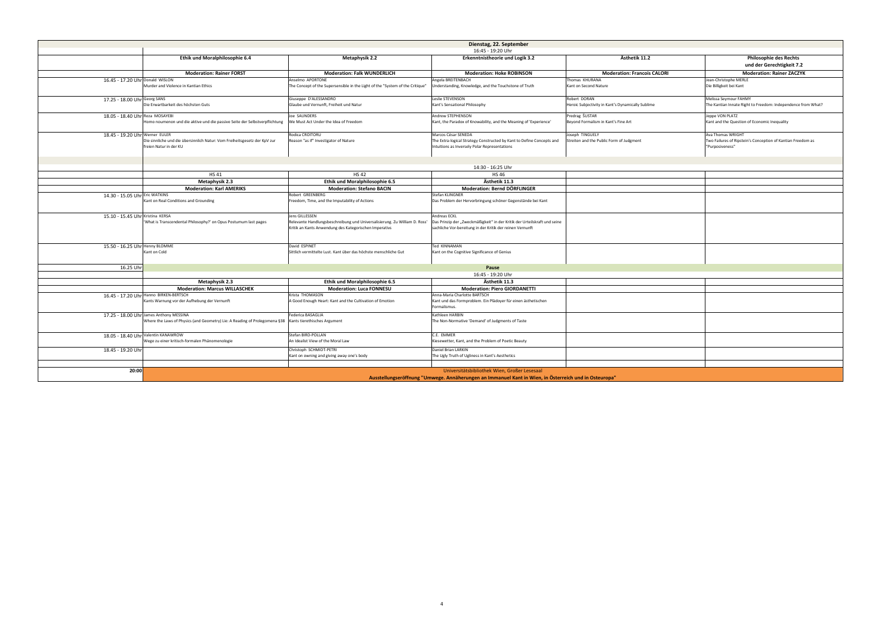|                                                                                        |                                                                               | Dienstag, 22. September                                                                                |                                                   |                                                              |
|----------------------------------------------------------------------------------------|-------------------------------------------------------------------------------|--------------------------------------------------------------------------------------------------------|---------------------------------------------------|--------------------------------------------------------------|
|                                                                                        |                                                                               | 16:45 - 19:20 Uhr                                                                                      |                                                   |                                                              |
| <b>Ethik und Moralphilosophie 6.4</b>                                                  | <b>Metaphysik 2.2</b>                                                         | Erkenntnistheorie und Logik 3.2                                                                        | Ästhetik 11.2                                     | <b>Philosophie des Rechts</b>                                |
|                                                                                        |                                                                               |                                                                                                        |                                                   | und der Gerechtigkeit 7.2                                    |
| <b>Moderation: Rainer FORST</b>                                                        | <b>Moderation: Falk WUNDERLICH</b>                                            | <b>Moderation: Hoke ROBINSON</b>                                                                       | <b>Moderation: Francois CALORI</b>                | <b>Moderation: Rainer ZACZYK</b>                             |
|                                                                                        | Anselmo APORTONE                                                              | Angela BREITENBACH                                                                                     | Thomas KHURANA                                    | Jean-Christophe MERLE                                        |
| e in Kantian Ethics                                                                    | The Concept of the Supersensible in the Light of the "System of the Critique" | Understanding, Knowledge, and the Touchstone of Truth                                                  | Kant on Second Nature                             | Die Billigkeit bei Kant                                      |
|                                                                                        | Giuseppe D'ALESSANDRO                                                         | Leslie STEVENSON                                                                                       | Robert DORAN                                      | Melissa Seymour FAHMY                                        |
| es höchsten Guts                                                                       | Glaube und Vernunft, Freiheit und Natur                                       | Kant's Sensational Philosophy                                                                          | Heroic Subjectivity in Kant's Dynamically Sublime | The Kantian Innate Right to Freedom: Independence from What? |
|                                                                                        | Joe SAUNDERS                                                                  | Andrew STEPHENSON                                                                                      | Predrag ŠUSTAR                                    | Jeppe VON PLATZ                                              |
| d die aktive und die passive Seite der Selbstverpflichtung                             | We Must Act Under the Idea of Freedom                                         | Kant, the Paradox of Knowability, and the Meaning of 'Experience'                                      | Beyond Formalism in Kant's Fine Art               | Kant and the Question of Economic Inequality                 |
|                                                                                        | Rodica CROITORU                                                               | Marcos César SENEDA                                                                                    | Joseph TINGUELY                                   | Ava Thomas WRIGHT                                            |
| übersinnlich Natur: Vom Freiheitsgesetz der KpV zur                                    | Reason "as if" Investigator of Nature                                         | The Extra-logical Strategy Constructed by Kant to Define Concepts and                                  | Streiten and the Public Form of Judgment          | Two Failures of Ripstein's Conception of Kantian Freedom as  |
|                                                                                        |                                                                               | Intuitions as Inversely Polar Representations                                                          |                                                   | "Purposiveness"                                              |
|                                                                                        |                                                                               |                                                                                                        |                                                   |                                                              |
|                                                                                        |                                                                               | 14:30 - 16:25 Uhr                                                                                      |                                                   |                                                              |
| <b>HS41</b>                                                                            | <b>HS42</b>                                                                   | <b>HS46</b>                                                                                            |                                                   |                                                              |
| <b>Metaphysik 2.3</b>                                                                  | <b>Ethik und Moralphilosophie 6.5</b>                                         | Ästhetik 11.3                                                                                          |                                                   |                                                              |
| <b>Moderation: Karl AMERIKS</b>                                                        | <b>Moderation: Stefano BACIN</b>                                              | <b>Moderation: Bernd DÖRFLINGER</b>                                                                    |                                                   |                                                              |
|                                                                                        | <b>Robert GREENBERG</b>                                                       | Stefan KLINGNER                                                                                        |                                                   |                                                              |
| ons and Grounding                                                                      | Freedom, Time, and the Imputability of Actions                                | Das Problem der Hervorbringung schöner Gegenstände bei Kant                                            |                                                   |                                                              |
|                                                                                        | Jens GILLESSEN                                                                | Andreas ECKL                                                                                           |                                                   |                                                              |
| ntal Philosophy?' on Opus Postumum last pages                                          | Relevante Handlungsbeschreibung und Universalisierung. Zu William D. Ross'    | Das Prinzip der "Zweckmäßigkeit" in der Kritik der Urteilskraft und seine                              |                                                   |                                                              |
|                                                                                        | Kritik an Kants Anwendung des Kategorischen Imperativs                        | sachliche Vor-bereitung in der Kritik der reinen Vernunft                                              |                                                   |                                                              |
|                                                                                        | David ESPINET                                                                 | Ted KINNAMAN                                                                                           |                                                   |                                                              |
|                                                                                        | Sittlich vermittelte Lust. Kant über das höchste menschliche Gut              | Kant on the Cognitive Significance of Genius                                                           |                                                   |                                                              |
|                                                                                        |                                                                               | Pause                                                                                                  |                                                   |                                                              |
|                                                                                        |                                                                               | 16:45 - 19:20 Uhr                                                                                      |                                                   |                                                              |
| <b>Metaphysik 2.3</b>                                                                  | <b>Ethik und Moralphilosophie 6.5</b>                                         | Ästhetik 11.3                                                                                          |                                                   |                                                              |
| <b>Moderation: Marcus WILLASCHEK</b>                                                   | <b>Moderation: Luca FONNESU</b>                                               | <b>Moderation: Piero GIORDANETTI</b>                                                                   |                                                   |                                                              |
| <b>TSCH</b>                                                                            | Krista THOMASON                                                               | Anna-Maria Charlotte BARTSCH                                                                           |                                                   |                                                              |
| der Aufhebung der Vernunft                                                             | A Good Enough Heart: Kant and the Cultivation of Emotion                      | Kant und das Formproblem. Ein Plädoyer für einen ästhetischen<br>Formalismus.                          |                                                   |                                                              |
| SINA                                                                                   | Federica BASAGLIA                                                             | Kathleen HARBIN                                                                                        |                                                   |                                                              |
| hysics (and Geometry) Lie: A Reading of Prolegomena §38   Kants tierethisches Argument |                                                                               | The Non-Normative 'Demand' of Judgments of Taste                                                       |                                                   |                                                              |
|                                                                                        | Stefan BIRD-POLLAN                                                            | C.E. EMMER                                                                                             |                                                   |                                                              |
| ch-formalen Phänomenologie                                                             | An Idealist View of the Moral Law                                             | Kiesewetter, Kant, and the Problem of Poetic Beauty                                                    |                                                   |                                                              |
|                                                                                        | Christoph SCHMIDT-PETRI<br>Kant on owning and giving away one's body          | Daniel Brian LARKIN<br>The Ugly Truth of Ugliness in Kant's Aesthetics                                 |                                                   |                                                              |
|                                                                                        |                                                                               |                                                                                                        |                                                   |                                                              |
|                                                                                        |                                                                               | Universitätsbibliothek Wien, Großer Lesesaal                                                           |                                                   |                                                              |
|                                                                                        |                                                                               | utellingere "fferne" "Harrison" Anglikeminese og lægening Kont in Wien, in Österneick und in Osternene |                                                   |                                                              |

|                                  |                                                                                                                       |                                                                                                                                                        | Dienstag, 22. September                                                                                                                     |
|----------------------------------|-----------------------------------------------------------------------------------------------------------------------|--------------------------------------------------------------------------------------------------------------------------------------------------------|---------------------------------------------------------------------------------------------------------------------------------------------|
|                                  |                                                                                                                       |                                                                                                                                                        | 16:45 - 19:20 Uhr                                                                                                                           |
|                                  | <b>Ethik und Moralphilosophie 6.4</b>                                                                                 | <b>Metaphysik 2.2</b>                                                                                                                                  | <b>Erkenntnistheorie und Logik 3.2</b>                                                                                                      |
|                                  |                                                                                                                       |                                                                                                                                                        |                                                                                                                                             |
|                                  | <b>Moderation: Rainer FORST</b>                                                                                       | <b>Moderation: Falk WUNDERLICH</b>                                                                                                                     | <b>Moderation: Hoke ROBINSON</b>                                                                                                            |
|                                  |                                                                                                                       | Anselmo APORTONE                                                                                                                                       | Angela BREITENBACH                                                                                                                          |
| 16.45 - 17.20 Uhr Donald WISLON  | Murder and Violence in Kantian Ethics                                                                                 | The Concept of the Supersensible in the Light of the "System of the Critique"                                                                          | Understanding, Knowledge, and the Touchstone of Truth                                                                                       |
| 17.25 - 18.00 Uhr Georg SANS     | Die Erwartbarkeit des höchsten Guts                                                                                   | Giuseppe D'ALESSANDRO<br>Glaube und Vernunft, Freiheit und Natur                                                                                       | Leslie STEVENSON<br>Kant's Sensational Philosophy                                                                                           |
| 18.05 - 18.40 Uhr Reza MOSAYEBI  | Homo noumenon und die aktive und die passive Seite der Selbstverpflichtung                                            | Joe SAUNDERS<br>We Must Act Under the Idea of Freedom                                                                                                  | Andrew STEPHENSON<br>Kant, the Paradox of Knowability, and the Meaning of 'Experi                                                           |
| 18.45 - 19.20 Uhr Werner EULER   | Die sinnliche und die übersinnlich Natur: Vom Freiheitsgesetz der KpV zur<br>freien Natur in der KU                   | Rodica CROITORU<br>Reason "as if" Investigator of Nature                                                                                               | Marcos César SENEDA<br>The Extra-logical Strategy Constructed by Kant to Define Con<br>Intuitions as Inversely Polar Representations        |
|                                  |                                                                                                                       |                                                                                                                                                        |                                                                                                                                             |
|                                  |                                                                                                                       |                                                                                                                                                        | 14:30 - 16:25 Uhr                                                                                                                           |
|                                  | <b>HS41</b>                                                                                                           | <b>HS42</b>                                                                                                                                            | <b>HS46</b>                                                                                                                                 |
|                                  | <b>Metaphysik 2.3</b>                                                                                                 | Ethik und Moralphilosophie 6.5                                                                                                                         | Ästhetik 11.3                                                                                                                               |
|                                  | <b>Moderation: Karl AMERIKS</b>                                                                                       | <b>Moderation: Stefano BACIN</b>                                                                                                                       | <b>Moderation: Bernd DÖRFLINGER</b>                                                                                                         |
| 14.30 - 15.05 Uhr Eric WATKINS   | Kant on Real Conditions and Grounding                                                                                 | Robert GREENBERG<br>Freedom, Time, and the Imputability of Actions                                                                                     | Stefan KLINGNER<br>Das Problem der Hervorbringung schöner Gegenstände bei K                                                                 |
| 15.10 - 15.45 Uhr Kristina KERSA | 'What is Transcendental Philosophy?' on Opus Postumum last pages                                                      | Jens GILLESSEN<br>Relevante Handlungsbeschreibung und Universalisierung. Zu William D. Ross'<br>Kritik an Kants Anwendung des Kategorischen Imperativs | Andreas ECKL<br>Das Prinzip der "Zweckmäßigkeit" in der Kritik der Urteilskraf<br>sachliche Vor-bereitung in der Kritik der reinen Vernunft |
| 15.50 - 16.25 Uhr Henny BLOMME   | Kant on Cold                                                                                                          | David ESPINET<br>Sittlich vermittelte Lust. Kant über das höchste menschliche Gut                                                                      | Ted KINNAMAN<br>Kant on the Cognitive Significance of Genius                                                                                |
| 16.25 Uhr                        |                                                                                                                       |                                                                                                                                                        | Pause                                                                                                                                       |
|                                  |                                                                                                                       |                                                                                                                                                        | 16:45 - 19:20 Uhr                                                                                                                           |
|                                  | <b>Metaphysik 2.3</b>                                                                                                 | Ethik und Moralphilosophie 6.5                                                                                                                         | Ästhetik 11.3                                                                                                                               |
|                                  | <b>Moderation: Marcus WILLASCHEK</b>                                                                                  | <b>Moderation: Luca FONNESU</b>                                                                                                                        | <b>Moderation: Piero GIORDANETTI</b>                                                                                                        |
|                                  | 16.45 - 17.20 Uhr Hanno BIRKEN-BERTSCH<br>Kants Warnung vor der Aufhebung der Vernunft                                | Krista THOMASON<br>A Good Enough Heart: Kant and the Cultivation of Emotion                                                                            | Anna-Maria Charlotte BARTSCH<br>Kant und das Formproblem. Ein Plädoyer für einen ästhetisch<br>Formalismus.                                 |
|                                  | 17.25 - 18.00 Uhr James Anthony MESSINA<br>Where the Laws of Physics (and Geometry) Lie: A Reading of Prolegomena §38 | Federica BASAGLIA<br>Kants tierethisches Argument                                                                                                      | Kathleen HARBIN<br>The Non-Normative 'Demand' of Judgments of Taste                                                                         |
|                                  | 18.05 - 18.40 Uhr Valentin KANAWROW<br>Wege zu einer kritisch-formalen Phänomenologie                                 | Stefan BIRD-POLLAN<br>An Idealist View of the Moral Law                                                                                                | C.E. EMMER<br>Kiesewetter, Kant, and the Problem of Poetic Beauty                                                                           |
| 18.45 - 19.20 Uhr                |                                                                                                                       | Christoph SCHMIDT-PETRI<br>Kant on owning and giving away one's body                                                                                   | Daniel Brian LARKIN<br>The Ugly Truth of Ugliness in Kant's Aesthetics                                                                      |
|                                  |                                                                                                                       |                                                                                                                                                        |                                                                                                                                             |
| 20:00                            |                                                                                                                       |                                                                                                                                                        | Universitätsbibliothek Wien, Großer Lesesaal<br>Ausstellungseröffnung "Umwege. Annäherungen an Immanuel Kant in Wien                        |

**Ausstellungseröffnung "Umwege. Annäherungen an Immanuel Kant in Wien, in Österreich und in Osteuropa"**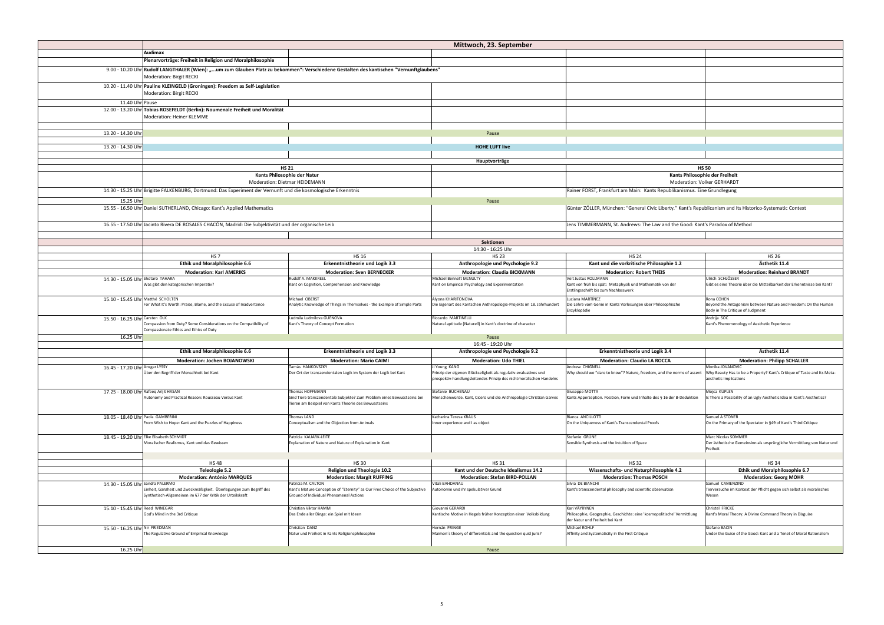|                                       | <b>Audimax</b>                                                                                                                                                      |                                                                                                                                                     | Mittwoch, 23. Sep                                                                                          |
|---------------------------------------|---------------------------------------------------------------------------------------------------------------------------------------------------------------------|-----------------------------------------------------------------------------------------------------------------------------------------------------|------------------------------------------------------------------------------------------------------------|
|                                       | Plenarvorträge: Freiheit in Religion und Moralphilosophie                                                                                                           |                                                                                                                                                     |                                                                                                            |
|                                       | 9.00 - 10.20 Uhr Rudolf LANGTHALER (Wien): "um zum Glauben Platz zu bekommen": Verschiedene Gestalten des kantischen "Vernunftglaubens"<br>Moderation: Birgit RECKI |                                                                                                                                                     |                                                                                                            |
|                                       | 10.20 - 11.40 Uhr Pauline KLEINGELD (Groningen): Freedom as Self-Legislation<br>Moderation: Birgit RECKI                                                            |                                                                                                                                                     |                                                                                                            |
| 11.40 Uhr Pause                       |                                                                                                                                                                     |                                                                                                                                                     |                                                                                                            |
|                                       | 12.00 - 13.20 Uhr Tobias ROSEFELDT (Berlin): Noumenale Freiheit und Moralität<br>Moderation: Heiner KLEMME                                                          |                                                                                                                                                     |                                                                                                            |
|                                       |                                                                                                                                                                     |                                                                                                                                                     |                                                                                                            |
| 13.20 - 14.30 Uhr                     |                                                                                                                                                                     |                                                                                                                                                     | Pause                                                                                                      |
| 13.20 - 14.30 Uhr                     |                                                                                                                                                                     |                                                                                                                                                     | <b>HOHE LUFT live</b>                                                                                      |
|                                       |                                                                                                                                                                     |                                                                                                                                                     |                                                                                                            |
|                                       |                                                                                                                                                                     | <b>HS 21</b>                                                                                                                                        | Hauptvorträge                                                                                              |
|                                       |                                                                                                                                                                     | Kants Philosophie der Natur                                                                                                                         |                                                                                                            |
|                                       |                                                                                                                                                                     | Moderation: Dietmar HEIDEMANN                                                                                                                       |                                                                                                            |
|                                       | 14.30 - 15.25 Uhr Brigitte FALKENBURG, Dortmund: Das Experiment der Vernunft und die kosmologische Erkenntnis                                                       |                                                                                                                                                     |                                                                                                            |
| 15.25 Uhr                             |                                                                                                                                                                     |                                                                                                                                                     | Pause                                                                                                      |
|                                       | 15.55 - 16.50 Uhr Daniel SUTHERLAND, Chicago: Kant's Applied Mathematics                                                                                            |                                                                                                                                                     |                                                                                                            |
|                                       |                                                                                                                                                                     |                                                                                                                                                     |                                                                                                            |
|                                       | 16.55 - 17.50 Uhr Jacinto Rivera DE ROSALES CHACÓN, Madrid: Die Subjektivität und der organische Leib                                                               |                                                                                                                                                     |                                                                                                            |
|                                       |                                                                                                                                                                     |                                                                                                                                                     | Sektionen                                                                                                  |
|                                       |                                                                                                                                                                     |                                                                                                                                                     | 14:30 - 16:25 U                                                                                            |
|                                       | <b>HS7</b>                                                                                                                                                          | <b>HS 16</b>                                                                                                                                        | <b>HS 23</b>                                                                                               |
|                                       | Ethik und Moralphilosophie 6.6                                                                                                                                      | <b>Erkenntnistheorie und Logik 3.3</b>                                                                                                              | Anthropologie und Ps                                                                                       |
|                                       | <b>Moderation: Karl AMERIKS</b>                                                                                                                                     | <b>Moderation: Sven BERNECKER</b>                                                                                                                   | <b>Moderation: Claudia</b>                                                                                 |
| 14.30 - 15.05 Uhr Shotaro TAHARA      | Was gibt den kategorischen Imperativ?                                                                                                                               | Rudolf A. MAKKREEL<br>Kant on Cognition, Comprehension and Knowledge                                                                                | Michael Bennett McNULTY<br>Kant on Empirical Psychology and Experim                                        |
| 15.10 - 15.45 Uhr Matthé SCHOLTEN     | For What It's Worth: Praise, Blame, and the Excuse of Inadvertence                                                                                                  | Michael OBERST<br>Analytic Knowledge of Things in Themselves - the Example of Simple Parts                                                          | Alyona KHARITONOVA<br>Die Eigenart des Kantschen Anthropologie-                                            |
| 15.50 - 16.25 Uhr Carsten OLK         | Compassion from Duty? Some Considerations on the Compatibility of                                                                                                   | Ludmila Ludmilova GUENOVA<br>Kant's Theory of Concept Formation                                                                                     | Riccardo MARTINELLI<br>Natural aptitude (Naturell) in Kant's doctri                                        |
|                                       | Compassionate Ethics and Ethics of Duty                                                                                                                             |                                                                                                                                                     |                                                                                                            |
| 16.25 Uhr                             |                                                                                                                                                                     |                                                                                                                                                     | Pause<br>16:45 - 19:20 Ul                                                                                  |
|                                       | Ethik und Moralphilosophie 6.6                                                                                                                                      | <b>Erkenntnistheorie und Logik 3.3</b>                                                                                                              | Anthropologie und Ps                                                                                       |
|                                       | <b>Moderation: Jochen BOJANOWSKI</b>                                                                                                                                | <b>Moderation: Mario CAIMI</b>                                                                                                                      | <b>Moderation: Ud</b>                                                                                      |
| 16.45 - 17.20 Uhr Ansgar LYSSY        | Über den Begriff der Menschheit bei Kant                                                                                                                            | Tamás HANKOVSZKY<br>Der Ort der transzendentalen Logik im System der Logik bei Kant                                                                 | Ji Young KANG<br>Prinzip der eigenen Glückseligkeit als regul<br>prospektiv-handlungsleitendes Prinzip des |
| 17.25 - 18.00 Uhr Rafeeq Arijit HASAN | Autonomy and Practical Reason: Rousseau Versus Kant                                                                                                                 | Thomas HOFFMANN<br>Sind Tiere transzendentale Subjekte? Zum Problem eines Bewusstseins bei<br>Tieren am Beispiel von Kants Theorie des Bewusstseins | Stefanie BUCHENAU<br>Menschenwürde. Kant, Cicero und die Ant                                               |
| 18.05 - 18.40 Uhr Paola GAMBERINI     | From Wish to Hope: Kant and the Puzzles of Happiness                                                                                                                | Thomas LAND<br>Conceptualism and the Objection from Animals                                                                                         | Katharina Teresa KRAUS<br>Inner experience and I as object                                                 |
|                                       | 18.45 - 19.20 Uhr Elke Elisabeth SCHMIDT<br>Moralischer Realismus, Kant und das Gewissen                                                                            | Patricia KAUARK-LEITE<br>Explanation of Nature and Nature of Explanation in Kant                                                                    |                                                                                                            |
|                                       |                                                                                                                                                                     |                                                                                                                                                     |                                                                                                            |
|                                       | <b>HS48</b>                                                                                                                                                         | <b>HS30</b>                                                                                                                                         | <b>HS 31</b>                                                                                               |
|                                       | <b>Teleologie 5.2</b>                                                                                                                                               | <b>Religion und Theologie 10.2</b>                                                                                                                  | Kant und der Deutsche I                                                                                    |
|                                       | <b>Moderation: António MARQUES</b>                                                                                                                                  | <b>Moderation: Margit RUFFING</b>                                                                                                                   | <b>Moderation: Stefan B</b>                                                                                |
| 14.30 - 15.05 Uhr Sandra PALERMO      | Einheit, Ganzheit und Zweckmäßigkeit. Überlegungen zum Begriff des<br>Synthetisch-Allgemeinen im §77 der Kritik der Urteilskraft                                    | Patricia M. CALTON<br>Kant's Mature Conception of "Eternity" as Our Free Choice of the Subjective<br>Ground of Individual Phenomenal Actions        | Vitali BAHDANAU<br>Autonomie und ihr spekulativer Grund                                                    |
| 15.10 - 15.45 Uhr Reed WINEGAR        | God's Mind in the 3rd Critique                                                                                                                                      | Christian Viktor HAMM<br>Das Ende aller Dinge: ein Spiel mit Ideen                                                                                  | Giovanni GERARDI<br>Kantische Motive in Hegels früher Konzept                                              |
| 15.50 - 16.25 Uhr Nir FRIEDMAN        | The Regulative Ground of Empirical Knowledge                                                                                                                        | Christian DANZ<br>Natur und Freiheit in Kants Religionsphilosophie                                                                                  | Hernán PRINGE<br>Maimon's theory of differentials and the q                                                |
| 16.25 Uhr                             |                                                                                                                                                                     |                                                                                                                                                     | Pause                                                                                                      |
|                                       |                                                                                                                                                                     |                                                                                                                                                     |                                                                                                            |

|                                                                                               |                                                                                                                                                     | Mittwoch, 23. September                                                                                           |                                                                                                                                  |                                                                                                                                    |
|-----------------------------------------------------------------------------------------------|-----------------------------------------------------------------------------------------------------------------------------------------------------|-------------------------------------------------------------------------------------------------------------------|----------------------------------------------------------------------------------------------------------------------------------|------------------------------------------------------------------------------------------------------------------------------------|
|                                                                                               |                                                                                                                                                     |                                                                                                                   |                                                                                                                                  |                                                                                                                                    |
| : Freiheit in Religion und Moralphilosophie<br>rgit RECKI                                     | HALER (Wien): "um zum Glauben Platz zu bekommen": Verschiedene Gestalten des kantischen "Vernunftglaubens"                                          |                                                                                                                   |                                                                                                                                  |                                                                                                                                    |
| <b>GELD (Groningen): Freedom as Self-Legislation</b><br>rgit RECKI                            |                                                                                                                                                     |                                                                                                                   |                                                                                                                                  |                                                                                                                                    |
| LDT (Berlin): Noumenale Freiheit und Moralität<br>einer KLEMME                                |                                                                                                                                                     |                                                                                                                   |                                                                                                                                  |                                                                                                                                    |
|                                                                                               |                                                                                                                                                     |                                                                                                                   |                                                                                                                                  |                                                                                                                                    |
|                                                                                               |                                                                                                                                                     | Pause                                                                                                             |                                                                                                                                  |                                                                                                                                    |
|                                                                                               |                                                                                                                                                     | <b>HOHE LUFT live</b>                                                                                             |                                                                                                                                  |                                                                                                                                    |
|                                                                                               |                                                                                                                                                     | Hauptvorträge                                                                                                     |                                                                                                                                  |                                                                                                                                    |
|                                                                                               | <b>HS 21</b>                                                                                                                                        |                                                                                                                   |                                                                                                                                  | <b>HS 50</b>                                                                                                                       |
|                                                                                               | Kants Philosophie der Natur<br><b>Moderation: Dietmar HEIDEMANN</b>                                                                                 |                                                                                                                   |                                                                                                                                  | Kants Philosophie der Freiheit<br><b>Moderation: Volker GERHARDT</b>                                                               |
| <b>IBURG, Dortmund: Das Experiment der Vernunft und die kosmologische Erkenntnis</b>          |                                                                                                                                                     |                                                                                                                   | Rainer FORST, Frankfurt am Main: Kants Republikanismus. Eine Grundlegung                                                         |                                                                                                                                    |
|                                                                                               |                                                                                                                                                     | Pause                                                                                                             |                                                                                                                                  |                                                                                                                                    |
| LAND, Chicago: Kant's Applied Mathematics                                                     |                                                                                                                                                     |                                                                                                                   | Günter ZÖLLER, München: "General Civic Liberty." Kant's Republicanism and Its Historico-Systematic Context                       |                                                                                                                                    |
| DE ROSALES CHACÓN, Madrid: Die Subjektivität und der organische Leib                          |                                                                                                                                                     |                                                                                                                   | Jens TIMMERMANN, St. Andrews: The Law and the Good: Kant's Paradox of Method                                                     |                                                                                                                                    |
|                                                                                               |                                                                                                                                                     |                                                                                                                   |                                                                                                                                  |                                                                                                                                    |
|                                                                                               |                                                                                                                                                     | Sektionen                                                                                                         |                                                                                                                                  |                                                                                                                                    |
| <b>HS 7</b>                                                                                   | <b>HS 16</b>                                                                                                                                        | 14:30 - 16:25 Uhr<br><b>HS 23</b>                                                                                 | <b>HS 24</b>                                                                                                                     | <b>HS 26</b>                                                                                                                       |
| <b>Ethik und Moralphilosophie 6.6</b>                                                         | <b>Erkenntnistheorie und Logik 3.3</b>                                                                                                              | Anthropologie und Psychologie 9.2                                                                                 | Kant und die vorkritische Philosophie 1.2                                                                                        | Ästhetik 11.4                                                                                                                      |
| <b>Moderation: Karl AMERIKS</b>                                                               | <b>Moderation: Sven BERNECKER</b>                                                                                                                   | <b>Moderation: Claudia BICKMANN</b>                                                                               | <b>Moderation: Robert THEIS</b>                                                                                                  | <b>Moderation: Reinhard BRANDT</b>                                                                                                 |
| gorischen Imperativ?                                                                          | Rudolf A. MAKKREEL<br>Kant on Cognition, Comprehension and Knowledge                                                                                | Michael Bennett McNULTY<br>Kant on Empirical Psychology and Experimentation                                       | Veit Justus ROLLMANN<br>Kant von früh bis spät: Metaphysik und Mathematik von der<br>Erstlingsschrift bis zum Nachlasswerk       | Ulrich SCHLÖSSER<br>Gibt es eine Theorie über die Mitteilbarkeit der Erkenntnisse bei Kant?                                        |
| h: Praise, Blame, and the Excuse of Inadvertence                                              | Michael OBERST<br>Analytic Knowledge of Things in Themselves - the Example of Simple Parts                                                          | Alyona KHARITONOVA<br>Die Eigenart des Kantschen Anthropologie-Projekts im 18. Jahrhundert                        | Luciana MARTÍNEZ<br>Die Lehre vom Genie in Kants Vorlesungen über Philosophische<br>Enzyklopädie                                 | Rona COHEN<br>Beyond the Antagonism between Nature and Freedom: On the Human<br>Body in The Critique of Judgment                   |
| Duty? Some Considerations on the Compatibility of<br>hics and Ethics of Duty                  | Ludmila Ludmilova GUENOVA<br>Kant's Theory of Concept Formation                                                                                     | Riccardo MARTINELLI<br>Natural aptitude (Naturell) in Kant's doctrine of character                                |                                                                                                                                  | Andrija SOC<br>Kant's Phenomenology of Aesthetic Experience                                                                        |
|                                                                                               |                                                                                                                                                     | Pause                                                                                                             |                                                                                                                                  |                                                                                                                                    |
|                                                                                               |                                                                                                                                                     | 16:45 - 19:20 Uhr                                                                                                 |                                                                                                                                  |                                                                                                                                    |
| <b>Ethik und Moralphilosophie 6.6</b>                                                         | <b>Erkenntnistheorie und Logik 3.3</b>                                                                                                              | Anthropologie und Psychologie 9.2                                                                                 | <b>Erkenntnistheorie und Logik 3.4</b>                                                                                           | Ästhetik 11.4                                                                                                                      |
| <b>Moderation: Jochen BOJANOWSKI</b><br>er Menschheit bei Kant                                | <b>Moderation: Mario CAIMI</b><br>Tamás HANKOVSZKY<br>Der Ort der transzendentalen Logik im System der Logik bei Kant                               | <b>Moderation: Udo THIEL</b><br>Ji Young KANG<br>Prinzip der eigenen Glückseligkeit als regulativ-evaluatives und | <b>Moderation: Claudio LA ROCCA</b><br>Andrew CHIGNELL<br>Why should we "dare to know"? Nature, freedom, and the norms of assent | <b>Moderation: Philipp SCHALLER</b><br>Monika JOVANOVIC<br>Why Beauty Has to be a Property? Kant's Critique of Taste and Its Meta- |
|                                                                                               |                                                                                                                                                     | prospektiv-handlungsleitendes Prinzip des nichtmoralischen Handelns                                               |                                                                                                                                  | aesthetic Implications                                                                                                             |
| ictical Reason: Rousseau Versus Kant                                                          | Thomas HOFFMANN<br>Sind Tiere transzendentale Subjekte? Zum Problem eines Bewusstseins bei<br>Tieren am Beispiel von Kants Theorie des Bewusstseins | Stefanie BUCHENAU<br>Menschenwürde. Kant, Cicero und die Anthropologie Christian Garves                           | Giuseppe MOTTA<br>Kants Apperzeption. Position, Form und Inhalte des § 16 der B-Deduktion                                        | Mojca KUPLEN<br>s There a Possibility of an Ugly Aesthetic Idea in Kant's Aesthetics?                                              |
| e: Kant and the Puzzles of Happiness                                                          | Thomas LAND<br>Conceptualism and the Objection from Animals                                                                                         | Katharina Teresa KRAUS<br>Inner experience and I as object                                                        | Bianca ANCILLOTTI<br>On the Uniqueness of Kant's Transcendental Proofs                                                           | Samuel A STONER<br>On the Primacy of the Spectator in §49 of Kant's Third Critique                                                 |
| MIDT<br>mus, Kant und das Gewissen                                                            | Patricia KAUARK-LEITE<br>Explanation of Nature and Nature of Explanation in Kant                                                                    |                                                                                                                   | Stefanie GRÜNE<br>Sensible Synthesis and the Intuition of Space                                                                  | Marc Nicolas SOMMER<br>Der ästhetische Gemeinsinn als ursprüngliche Vermittlung von Natur und<br>Freiheit                          |
| <b>HS48</b>                                                                                   | <b>HS30</b>                                                                                                                                         | <b>HS31</b>                                                                                                       | <b>HS32</b>                                                                                                                      | <b>HS34</b>                                                                                                                        |
| Teleologie 5.2                                                                                | <b>Religion und Theologie 10.2</b>                                                                                                                  | Kant und der Deutsche Idealismus 14.2                                                                             | Wissenschafts- und Naturphilosophie 4.2                                                                                          | Ethik und Moralphilosophie 6.7                                                                                                     |
| <b>Moderation: António MARQUES</b>                                                            | <b>Moderation: Margit RUFFING</b><br>Patricia M. CALTON                                                                                             | <b>Moderation: Stefan BIRD-POLLAN</b><br>Vitali BAHDANAU                                                          | <b>Moderation: Thomas POSCH</b><br>Silvia DE BIANCHI                                                                             | <b>Moderation: Georg MOHR</b><br>Samuel CAMENZIND                                                                                  |
| und Zweckmäßigkeit. Überlegungen zum Begriff des<br>neinen im §77 der Kritik der Urteilskraft | Kant's Mature Conception of "Eternity" as Our Free Choice of the Subjective<br>Ground of Individual Phenomenal Actions                              | Autonomie und ihr spekulativer Grund                                                                              | Kant's transcendental philosophy and scientific observation                                                                      | Tierversuche im Kontext der Pflicht gegen sich selbst als moralisches<br>Wesen                                                     |
| 3rd Critique                                                                                  | Christian Viktor HAMM<br>Das Ende aller Dinge: ein Spiel mit Ideen                                                                                  | Giovanni GERARDI<br>Kantische Motive in Hegels früher Konzeption einer Volksbildung                               | Kari VÄYRYNEN<br>Philosophie, Geographie, Geschichte: eine 'kosmopolitische' Vermittlung<br>der Natur und Freiheit bei Kant      | Christel FRICKE<br>Kant's Moral Theory: A Divine Command Theory in Disguise                                                        |
| bund of Empirical Knowledge                                                                   | Christian DANZ<br>Natur und Freiheit in Kants Religionsphilosophie                                                                                  | Hernán PRINGE<br>Maimon's theory of differentials and the question quid juris?                                    | Michael ROHLF<br>Affinity and Systematicity in the First Critique                                                                | Stefano BACIN<br>Under the Guise of the Good: Kant and a Tenet of Moral Rationalism                                                |
|                                                                                               |                                                                                                                                                     | Pause                                                                                                             |                                                                                                                                  |                                                                                                                                    |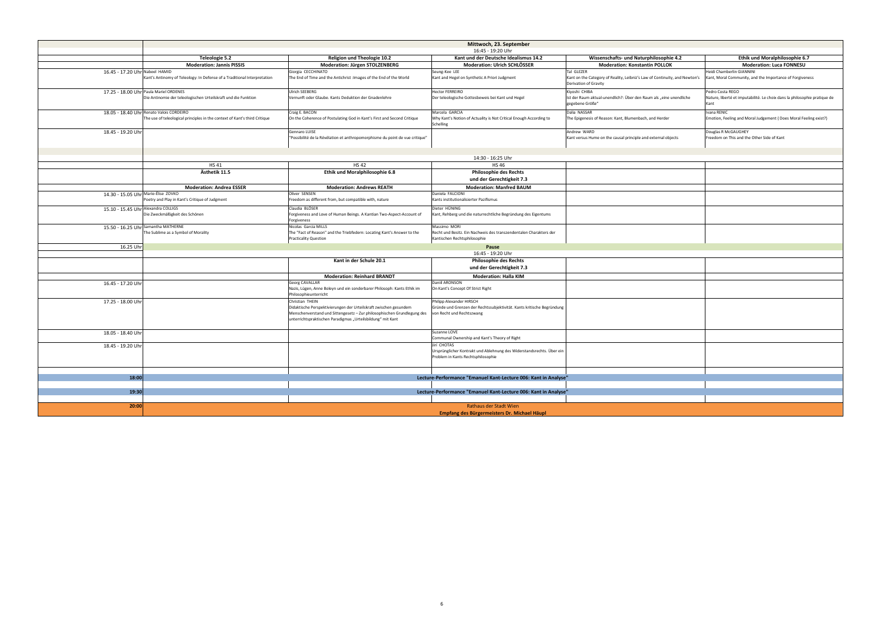| Mittwoch, 23. September                                                       |                                                                                                                                        |                                                                                                             |                                                                                                     |                                                                                               |
|-------------------------------------------------------------------------------|----------------------------------------------------------------------------------------------------------------------------------------|-------------------------------------------------------------------------------------------------------------|-----------------------------------------------------------------------------------------------------|-----------------------------------------------------------------------------------------------|
|                                                                               |                                                                                                                                        | 16:45 - 19:20 Uhr                                                                                           |                                                                                                     |                                                                                               |
| Teleologie 5.2                                                                | <b>Religion und Theologie 10.2</b>                                                                                                     | Kant und der Deutsche Idealismus 14.2                                                                       | Wissenschafts- und Naturphilosophie 4.2                                                             | Ethik und Moralphilosophie 6.7                                                                |
| <b>Moderation: Jannis PISSIS</b>                                              | <b>Moderation: Jürgen STOLZENBERG</b>                                                                                                  | <b>Moderation: Ulrich SCHLÖSSER</b>                                                                         | <b>Moderation: Konstantin POLLOK</b>                                                                | <b>Moderation: Luca FONNESU</b>                                                               |
|                                                                               | Giorgia CECCHINATO                                                                                                                     | Seung-Kee LEE                                                                                               | Tal GLEZER                                                                                          | Heidi Chamberlin GIANNINI                                                                     |
| ology: In Defense of a Traditional Interpretation                             | The End of Time and the Antichrist : Images of the End of the World                                                                    | Kant and Hegel on Synthetic A Priori Judgment                                                               | Kant on the Category of Reality, Leibniz's Law of Continuity, and Newton's<br>Derivation of Gravity | Kant, Moral Community, and the Importance of Forgiveness                                      |
| logischen Urteilskraft und die Funktion                                       | Ulrich SEEBERG<br>Vernunft oder Glaube. Kants Deduktion der Gnadenlehre                                                                | Hector FERREIRO<br>Der teleologische Gottesbeweis bei Kant und Hegel                                        | Kiyoshi CHIBA<br>Ist der Raum aktual-unendlich?: Über den Raum als "eine unendliche                 | Pedro Costa REGO<br>Nature, liberté et imputabilité. Le choix dans la philosophie pratique de |
|                                                                               |                                                                                                                                        |                                                                                                             | gegebene Größe"                                                                                     | Kant                                                                                          |
|                                                                               | Craig E. BACON                                                                                                                         | Marcela GARCIA                                                                                              | Dalia NASSAR                                                                                        | Ivana RENIC                                                                                   |
| principles in the context of Kant's third Critique                            | On the Coherence of Postulating God in Kant's First and Second Critique                                                                | Why Kant's Notion of Actuality is Not Critical Enough According to<br>Schelling                             | The Epigenesis of Reason: Kant, Blumenbach, and Herder                                              | Emotion, Feeling and Moral Judgement (Does Moral Feeling exist?)                              |
|                                                                               | Gennaro LUISE<br>"Possibilité de la Révélation et anthropomorphisme du point de vue critique"                                          |                                                                                                             | Andrew WARD<br>Kant versus Hume on the causal principle and external objects                        | Douglas R McGAUGHEY<br>Freedom on This and the Other Side of Kant                             |
|                                                                               |                                                                                                                                        |                                                                                                             |                                                                                                     |                                                                                               |
|                                                                               |                                                                                                                                        | 14:30 - 16:25 Uhr                                                                                           |                                                                                                     |                                                                                               |
| <b>HS41</b>                                                                   | <b>HS42</b>                                                                                                                            | <b>HS46</b>                                                                                                 |                                                                                                     |                                                                                               |
| Ästhetik 11.5                                                                 | Ethik und Moralphilosophie 6.8                                                                                                         | <b>Philosophie des Rechts</b><br>und der Gerechtigkeit 7.3                                                  |                                                                                                     |                                                                                               |
| <b>Moderation: Andrea ESSER</b>                                               | <b>Moderation: Andrews REATH</b>                                                                                                       | <b>Moderation: Manfred BAUM</b>                                                                             |                                                                                                     |                                                                                               |
| s Critique of Judgment                                                        | Oliver SENSEN<br>Freedom as different from, but compatible with, nature                                                                | Daniela FALCIONI<br>Kants institutionalisierter Pazifismus                                                  |                                                                                                     |                                                                                               |
|                                                                               | Claudia BLÖSER                                                                                                                         | Dieter HÜNING                                                                                               |                                                                                                     |                                                                                               |
| s Schönen                                                                     | Forgiveness and Love of Human Beings. A Kantian Two-Aspect-Account of<br>Forgiveness                                                   | Kant, Rehberg und die naturrechtliche Begründung des Eigentums                                              |                                                                                                     |                                                                                               |
|                                                                               | Nicolas Garcia MILLS                                                                                                                   | Massimo MORI                                                                                                |                                                                                                     |                                                                                               |
| ol of Morality                                                                | The "Fact of Reason" and the Triebfedern: Locating Kant's Answer to the<br><b>Practicality Question</b>                                | Recht und Besitz. Ein Nachweis des transzendentalen Charakters der<br>Kantischen Rechtsphilosophie          |                                                                                                     |                                                                                               |
|                                                                               |                                                                                                                                        | Pause                                                                                                       |                                                                                                     |                                                                                               |
|                                                                               |                                                                                                                                        | 16:45 - 19:20 Uhr                                                                                           |                                                                                                     |                                                                                               |
|                                                                               | Kant in der Schule 20.1                                                                                                                | <b>Philosophie des Rechts</b><br>und der Gerechtigkeit 7.3                                                  |                                                                                                     |                                                                                               |
|                                                                               | <b>Moderation: Reinhard BRANDT</b>                                                                                                     | <b>Moderation: Halla KIM</b>                                                                                |                                                                                                     |                                                                                               |
|                                                                               | <b>Georg CAVALLAR</b><br>Nazis, Lügen, Anne Boleyn und ein sonderbarer Philosoph: Kants Ethik im<br>Philosophieunterricht              | Daniil ARONSON<br>On Kant's Concept Of Strict Right                                                         |                                                                                                     |                                                                                               |
|                                                                               | Christian THEIN                                                                                                                        | Philipp Alexander HIRSCH                                                                                    |                                                                                                     |                                                                                               |
|                                                                               | Didaktische Perspektivierungen der Urteilskraft zwischen gesundem                                                                      | Gründe und Grenzen der Rechtssubjektivität. Kants kritische Begründung                                      |                                                                                                     |                                                                                               |
|                                                                               | Menschenverstand und Sittengesetz - Zur philosophischen Grundlegung des<br>unterrichtspraktischen Paradigmas "Urteilsbildung" mit Kant | von Recht und Rechtszwang                                                                                   |                                                                                                     |                                                                                               |
|                                                                               |                                                                                                                                        | Suzanne LOVE<br>Communal Ownership and Kant's Theory of Right                                               |                                                                                                     |                                                                                               |
|                                                                               |                                                                                                                                        | Jirí CHOTAS                                                                                                 |                                                                                                     |                                                                                               |
|                                                                               |                                                                                                                                        | Ursprünglicher Kontrakt und Ablehnung des Widerstandsrechts. Über ein<br>Problem in Kants Rechtsphilosophie |                                                                                                     |                                                                                               |
|                                                                               |                                                                                                                                        |                                                                                                             |                                                                                                     |                                                                                               |
|                                                                               |                                                                                                                                        | Lecture-Performance "Emanuel Kant-Lecture 006: Kant in Analyse"                                             |                                                                                                     |                                                                                               |
|                                                                               |                                                                                                                                        |                                                                                                             |                                                                                                     |                                                                                               |
|                                                                               |                                                                                                                                        | Lecture-Performance "Emanuel Kant-Lecture 006: Kant in Analyse"                                             |                                                                                                     |                                                                                               |
|                                                                               |                                                                                                                                        |                                                                                                             |                                                                                                     |                                                                                               |
| <b>Rathaus der Stadt Wien</b><br>Empfang des Bürgermeisters Dr. Michael Häupl |                                                                                                                                        |                                                                                                             |                                                                                                     |                                                                                               |

|                                     |                                                                                                                        |                                                                                                                                                                                                                                | Mittwoch, 23. September                                                                                         |
|-------------------------------------|------------------------------------------------------------------------------------------------------------------------|--------------------------------------------------------------------------------------------------------------------------------------------------------------------------------------------------------------------------------|-----------------------------------------------------------------------------------------------------------------|
|                                     |                                                                                                                        |                                                                                                                                                                                                                                | 16:45 - 19:20 Uhr                                                                                               |
|                                     | Teleologie 5.2                                                                                                         | <b>Religion und Theologie 10.2</b>                                                                                                                                                                                             | Kant und der Deutsche Idealismus                                                                                |
|                                     | <b>Moderation: Jannis PISSIS</b>                                                                                       | <b>Moderation: Jürgen STOLZENBERG</b>                                                                                                                                                                                          | <b>Moderation: Ulrich SCHLÖSSE</b>                                                                              |
| 16.45 - 17.20 Uhr Nabeel HAMID      | Kant's Antinomy of Teleology: In Defense of a Traditional Interpretation                                               | Giorgia CECCHINATO<br>The End of Time and the Antichrist : Images of the End of the World                                                                                                                                      | Seung-Kee LEE<br>Kant and Hegel on Synthetic A Priori Judgment                                                  |
|                                     | 17.25 - 18.00 Uhr Paula Mariel ORDENES<br>Die Antinomie der teleologischen Urteilskraft und die Funktion               | Ulrich SEEBERG<br>Vernunft oder Glaube. Kants Deduktion der Gnadenlehre                                                                                                                                                        | <b>Hector FERREIRO</b><br>Der teleologische Gottesbeweis bei Kant und Hegel                                     |
|                                     | 18.05 - 18.40 Uhr Renato Valois CORDEIRO<br>The use of teleological principles in the context of Kant's third Critique | Craig E. BACON<br>On the Coherence of Postulating God in Kant's First and Second Critique                                                                                                                                      | Marcela GARCIA<br>Why Kant's Notion of Actuality is Not Critical Enough A<br><b>Schelling</b>                   |
| 18.45 - 19.20 Uhr                   |                                                                                                                        | Gennaro LUISE<br>'Possibilité de la Révélation et anthropomorphisme du point de vue critique"                                                                                                                                  |                                                                                                                 |
|                                     |                                                                                                                        |                                                                                                                                                                                                                                | 14:30 - 16:25 Uhr                                                                                               |
|                                     | <b>HS41</b>                                                                                                            | <b>HS42</b>                                                                                                                                                                                                                    | <b>HS46</b>                                                                                                     |
|                                     | Ästhetik 11.5                                                                                                          | Ethik und Moralphilosophie 6.8                                                                                                                                                                                                 | <b>Philosophie des Rechts</b><br>und der Gerechtigkeit 7.3                                                      |
|                                     | <b>Moderation: Andrea ESSER</b>                                                                                        | <b>Moderation: Andrews REATH</b>                                                                                                                                                                                               | <b>Moderation: Manfred BAUM</b>                                                                                 |
| 14.30 - 15.05 Uhr Marie-Élise ZOVKO | Poetry and Play in Kant's Critique of Judgment                                                                         | Oliver SENSEN<br>Freedom as different from, but compatible with, nature                                                                                                                                                        | Daniela FALCIONI<br>Kants institutionalisierter Pazifismus                                                      |
| 15.10 - 15.45 Uhr Alexandra COLLIGS | Die Zweckmäßigkeit des Schönen                                                                                         | Claudia BLÖSER<br>Forgiveness and Love of Human Beings. A Kantian Two-Aspect-Account of<br>Forgiveness                                                                                                                         | Dieter HÜNING<br>Kant, Rehberg und die naturrechtliche Begründung des                                           |
|                                     | 15.50 - 16.25 Uhr Samantha MATHERNE<br>The Sublime as a Symbol of Morality                                             | Nicolas Garcia MILLS<br>The "Fact of Reason" and the Triebfedern: Locating Kant's Answer to the<br><b>Practicality Question</b>                                                                                                | Massimo MORI<br>Recht und Besitz. Ein Nachweis des transzendentalen C<br>Kantischen Rechtsphilosophie           |
| 16.25 Uhr                           |                                                                                                                        |                                                                                                                                                                                                                                | Pause                                                                                                           |
|                                     |                                                                                                                        |                                                                                                                                                                                                                                | 16:45 - 19:20 Uhr                                                                                               |
|                                     |                                                                                                                        | Kant in der Schule 20.1                                                                                                                                                                                                        | <b>Philosophie des Rechts</b><br>und der Gerechtigkeit 7.3                                                      |
|                                     |                                                                                                                        | <b>Moderation: Reinhard BRANDT</b>                                                                                                                                                                                             | <b>Moderation: Halla KIM</b>                                                                                    |
| 16.45 - 17.20 Uhr                   |                                                                                                                        | <b>Georg CAVALLAR</b><br>Nazis, Lügen, Anne Boleyn und ein sonderbarer Philosoph: Kants Ethik im<br>Philosophieunterricht                                                                                                      | Daniil ARONSON<br>On Kant's Concept Of Strict Right                                                             |
| 17.25 - 18.00 Uhr                   |                                                                                                                        | Christian THEIN<br>Didaktische Perspektivierungen der Urteilskraft zwischen gesundem<br>Menschenverstand und Sittengesetz - Zur philosophischen Grundlegung des<br>unterrichtspraktischen Paradigmas "Urteilsbildung" mit Kant | Philipp Alexander HIRSCH<br>Gründe und Grenzen der Rechtssubjektivität. Kants krit<br>von Recht und Rechtszwang |
| 18.05 - 18.40 Uhr                   |                                                                                                                        |                                                                                                                                                                                                                                | Suzanne LOVE<br>Communal Ownership and Kant's Theory of Right                                                   |
| 18.45 - 19.20 Uhr                   |                                                                                                                        |                                                                                                                                                                                                                                | Jirí CHOTAS<br>Ursprünglicher Kontrakt und Ablehnung des Widerstan<br>Problem in Kants Rechtsphilosophie        |
|                                     |                                                                                                                        |                                                                                                                                                                                                                                |                                                                                                                 |
| 18:00                               |                                                                                                                        |                                                                                                                                                                                                                                | Lecture-Performance "Emanuel Kant-Lecture 006:                                                                  |
| 19:30                               |                                                                                                                        |                                                                                                                                                                                                                                | Lecture-Performance "Emanuel Kant-Lecture 006:                                                                  |
| 20:00                               |                                                                                                                        |                                                                                                                                                                                                                                | Rathaus der Stadt Wien<br>Empfang des Bürgermeisters Dr. Michae                                                 |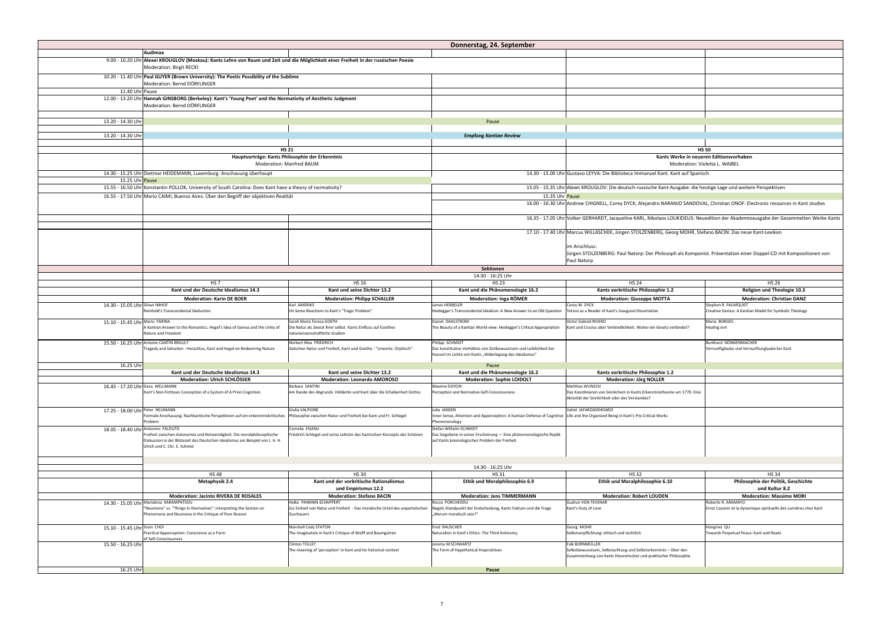|                                    |                                                                                                                                                                  |                                                                                                          | Donnerstag, 24. September                                                                                                                          |                                                                               |
|------------------------------------|------------------------------------------------------------------------------------------------------------------------------------------------------------------|----------------------------------------------------------------------------------------------------------|----------------------------------------------------------------------------------------------------------------------------------------------------|-------------------------------------------------------------------------------|
|                                    | Audimax                                                                                                                                                          |                                                                                                          |                                                                                                                                                    |                                                                               |
|                                    | 9.00 - 10.20 Uhr Alexei KROUGLOV (Moskau): Kants Lehre von Raum und Zeit und die Möglichkeit einer Freiheit in der russischen Poesie<br>Moderation: Birgit RECKI |                                                                                                          |                                                                                                                                                    |                                                                               |
|                                    | 10.20 - 11.40 Uhr Paul GUYER (Brown University): The Poetic Possibility of the Sublime<br>Moderation: Bernd DÖRFLINGER                                           |                                                                                                          |                                                                                                                                                    |                                                                               |
| 11.40 Uhr Pause                    |                                                                                                                                                                  |                                                                                                          |                                                                                                                                                    |                                                                               |
|                                    | 12.00 - 13.20 Uhr Hannah GINSBORG (Berkeley): Kant's 'Young Poet' and the Normativity of Aesthetic Judgment                                                      |                                                                                                          |                                                                                                                                                    |                                                                               |
|                                    | Moderation: Bernd DÖRFLINGER                                                                                                                                     |                                                                                                          |                                                                                                                                                    |                                                                               |
| 13.20 - 14.30 Uhr                  |                                                                                                                                                                  |                                                                                                          | Pause                                                                                                                                              |                                                                               |
|                                    |                                                                                                                                                                  |                                                                                                          |                                                                                                                                                    |                                                                               |
| 13.20 - 14.30 Uhr                  |                                                                                                                                                                  |                                                                                                          | <b>Empfang Kantian Review</b>                                                                                                                      |                                                                               |
|                                    |                                                                                                                                                                  | <b>HS 21</b>                                                                                             |                                                                                                                                                    |                                                                               |
|                                    |                                                                                                                                                                  | Hauptvorträge: Kants Philosophie der Erkenntnis                                                          |                                                                                                                                                    | <b>Kants V</b>                                                                |
|                                    |                                                                                                                                                                  | <b>Moderation: Manfred BAUM</b>                                                                          |                                                                                                                                                    |                                                                               |
|                                    | 14.30 - 15.25 Uhr Dietmar HEIDEMANN, Luxemburg: Anschauung überhaupt                                                                                             |                                                                                                          |                                                                                                                                                    | 14.30 - 15.00 Uhr Gustavo LEYVA: Die Biblioteca Immanuel Kant. K              |
| 15.25 Uhr Pause                    |                                                                                                                                                                  |                                                                                                          |                                                                                                                                                    |                                                                               |
|                                    | 15.55 - 16.50 Uhr Konstantin POLLOK, University of South Carolina: Does Kant have a theory of normativity?                                                       |                                                                                                          |                                                                                                                                                    | 15.05 - 15.35 Uhr Alexei KROUGLOV: Die deutsch-russische Kant-A               |
|                                    | 16.55 - 17.50 Uhr Mario CAIMI, Buenos Aires: Über den Begriff der objektiven Realität                                                                            |                                                                                                          | 15.35 Uhr Pause                                                                                                                                    |                                                                               |
|                                    |                                                                                                                                                                  |                                                                                                          |                                                                                                                                                    | 16.00 - 16.30 Uhr Andrew CHIGNELL, Corey DYCK, Alejandro NARA                 |
|                                    |                                                                                                                                                                  |                                                                                                          |                                                                                                                                                    |                                                                               |
|                                    |                                                                                                                                                                  |                                                                                                          |                                                                                                                                                    | 16.35 - 17.05 Uhr Volker GERHARDT, Jacqueline KARL, Nikolaos LO               |
|                                    |                                                                                                                                                                  |                                                                                                          |                                                                                                                                                    | 17.10 - 17.40 Uhr Marcus WILLASCHEK, Jürgen STOLZENBERG, Gec                  |
|                                    |                                                                                                                                                                  |                                                                                                          |                                                                                                                                                    | im Anschluss:                                                                 |
|                                    |                                                                                                                                                                  |                                                                                                          |                                                                                                                                                    | Jürgen STOLZENBERG: Paul Natorp: Der Philosop                                 |
|                                    |                                                                                                                                                                  |                                                                                                          |                                                                                                                                                    | Paul Natorp                                                                   |
|                                    |                                                                                                                                                                  |                                                                                                          | <b>Sektionen</b>                                                                                                                                   |                                                                               |
|                                    |                                                                                                                                                                  |                                                                                                          | 14:30 - 16:25 Uhr                                                                                                                                  |                                                                               |
|                                    | HS <sub>7</sub>                                                                                                                                                  | <b>HS 16</b>                                                                                             | <b>HS 23</b>                                                                                                                                       | <b>HS 24</b>                                                                  |
|                                    | Kant und der Deutsche Idealismus 14.3                                                                                                                            | Kant und seine Dichter 13.2                                                                              | Kant und die Phänomenologie 16.2                                                                                                                   | Kants vorkritische Philosophie 1.2                                            |
|                                    | <b>Moderation: Karin DE BOER</b>                                                                                                                                 | <b>Moderation: Philipp SCHALLER</b>                                                                      | <b>Moderation: Inga RÖMER</b>                                                                                                                      | <b>Moderation: Giuseppe MOTTA</b>                                             |
| 14.30 - 15.05 Uhr Silvan IMHOF     | Reinhold's Transcendental Deduction                                                                                                                              | Karl AMERIKS<br>On Some Reactions to Kant's "Tragic Problem"                                             | James HEBBELER<br>Heidegger's Transcendental Idealism: A New Answer to an Old Question                                                             | Corey W. DYCK<br>Tetens as a Reader of Kant's Inaugural Dissertation          |
| 15.10 - 15.45 Uhr Mario FARINA     |                                                                                                                                                                  | Sarah Maria Teresa GOETH                                                                                 | Daniel DAHLSTROM                                                                                                                                   | <b>Victor Gabriel RIVERO</b>                                                  |
|                                    | A Kantian Answer to the Romantics. Hegel's Idea of Genius and the Unity of<br>Nature and Freedom                                                                 | Die Natur als Zweck ihrer selbst. Kants Einfluss auf Goethes<br>naturwissenschaftliche Studien           | The Beauty of a Kantian World-view: Heidegger's Critical Appropriation                                                                             | Kant und Crusius über Verbindlichkeit. Woher ein Gesetz ve                    |
|                                    | 15.50 - 16.25 Uhr Antoine CANTIN-BRAULT                                                                                                                          | Norbert Max FRIEDRICH                                                                                    | Philipp SCHMIDT                                                                                                                                    |                                                                               |
|                                    | Tragedy and Salvation - Heraclitus, Kant and Hegel on Redeeming Nature                                                                                           | Zwischen Natur und Freiheit, Kant und Goethe - "Urworte. Orphisch"                                       | Das konstitutive Verhältnis von Zeitbewusstsein und Leiblichkeit bei<br>Husserl im Lichte von Kants "Widerlegung des Idealismus"                   |                                                                               |
| 16.25 Uhr                          |                                                                                                                                                                  |                                                                                                          | Pause                                                                                                                                              |                                                                               |
|                                    | Kant und der Deutsche Idealismus 14.3                                                                                                                            | Kant und seine Dichter 13.2                                                                              | Kant und die Phänomenologie 16.2                                                                                                                   | Kants vorkritische Philosophie 1.2                                            |
|                                    | <b>Moderation: Ulrich SCHLÖSSER</b>                                                                                                                              | <b>Moderation: Leonardo AMOROSO</b>                                                                      | <b>Moderation: Sophie LOIDOLT</b>                                                                                                                  | <b>Moderation: Jörg NOLLER</b>                                                |
| 16.45 - 17.20 Uhr Gesa WELLMANN    | Kant's Non-Fichtean Conception of a System of A Priori Cognition                                                                                                 | Barbara SANTINI<br>Am Rande des Abgrunds. Hölderlin und Kant über die Erhabenheit Gottes                 | Maxime DOYON<br>Perception and Normative-Self-Consciousness                                                                                        | Matthias WUNSCH<br>Das Koordinieren von Sinnlichem in Kants Erkenntnistheorie |
|                                    |                                                                                                                                                                  |                                                                                                          |                                                                                                                                                    | Aktivität der Sinnlichkeit oder des Verstandes?                               |
| 17.25 - 18.00 Uhr Peter NEUMANN    |                                                                                                                                                                  | Giulia VALPIONE                                                                                          | Julia JANSEN                                                                                                                                       | Vahid JAFARZADEHDARZI                                                         |
|                                    | Formale Anschauung. Nachkantische Perspektiven auf ein erkenntniskritisches<br>Problem                                                                           | Philosophie zwischen Natur und Freiheit bei Kant und Fr. Schlegel                                        | Inner Sense, Attention and Apperception: A Kantian Defense of Cognitive Life and the Organized Being in Kant's Pre-Critical Works<br>Phenomenology |                                                                               |
| 18.05 - 18.40 Uhr Antonino FALDUTO |                                                                                                                                                                  | Cornelia ESIANU                                                                                          | Stefan Wilhelm SCHMIDT                                                                                                                             |                                                                               |
|                                    | Freiheit zwischen Autonomie und Notwendigkeit. Die moralphilosophische<br>Diskussion in der Blütezeit des Deutschen Idealismus am Beispiel von J. A. H.          | Friedrich Schlegel und seine Lektüre des Kantischen Konzepts des Schönen                                 | Das Gegebene in seiner Erscheinung - Eine phänomenologische Replik<br>auf Kants kosmologisches Problem der Freiheit                                |                                                                               |
|                                    | Ulrich und C. Chr. E. Schmid                                                                                                                                     |                                                                                                          |                                                                                                                                                    |                                                                               |
|                                    |                                                                                                                                                                  |                                                                                                          |                                                                                                                                                    |                                                                               |
|                                    |                                                                                                                                                                  |                                                                                                          | 14:30 - 16:25 Uhr                                                                                                                                  |                                                                               |
|                                    | <b>HS48</b>                                                                                                                                                      | <b>HS 30</b>                                                                                             | <b>HS31</b>                                                                                                                                        | <b>HS32</b>                                                                   |
|                                    | Metaphysik 2.4                                                                                                                                                   | Kant und der vorkritische Rationalismus                                                                  | <b>Ethik und Moralphilosophie 6.9</b>                                                                                                              | Ethik und Moralphilosophie 6.10                                               |
|                                    |                                                                                                                                                                  | und Empirismus 12.2                                                                                      |                                                                                                                                                    |                                                                               |
|                                    | <b>Moderation: Jacinto RIVERA DE ROSALES</b>                                                                                                                     | <b>Moderation: Stefano BACIN</b>                                                                         | <b>Moderation: Jens TIMMERMANN</b>                                                                                                                 | <b>Moderation: Robert LOUDEN</b>                                              |
|                                    | 14.30 - 15.05 Uhr Marialena KARAMPATSOU                                                                                                                          | Helke PANKNIN-SCHAPPERT<br>Zur Einheit von Natur und Freiheit - Das moralische Urteil des unparteiischen | Rocco PORCHEDDU                                                                                                                                    | <b>Gudrun VON TEVENAR</b>                                                     |
|                                    | "Noumena" vs. "Things in themselves": Interpreting the Section on<br>Phenomena and Noumena in the Critique of Pure Reason                                        | Zuschauers                                                                                               | Nagels Standpunkt der Endscheidung, Kants Faktum und die Frage<br>"Warum moralisch sein?"                                                          | Kant's Duty of Love                                                           |
|                                    |                                                                                                                                                                  |                                                                                                          |                                                                                                                                                    |                                                                               |
| 15.10 - 15.45 Uhr Yoon CHOI        |                                                                                                                                                                  | Marshall Cody STATON                                                                                     | Fred RAUSCHER                                                                                                                                      | Georg MOHR                                                                    |
|                                    | Practical Apperception: Conscience as a Form<br>of Self-Consciousness                                                                                            | The Imagination in Kant's Critique of Wolff and Baumgarten                                               | Naturalism in Kant's Ethics: The Third Antinomy                                                                                                    | Selbstverpflichtung: ethisch und rechtlich                                    |
| 15.50 - 16.25 Uhr                  |                                                                                                                                                                  | Clinton TOLLEY                                                                                           | Jeremy M SCHWARTZ                                                                                                                                  | Falk BORNMÜLLER                                                               |
|                                    |                                                                                                                                                                  | The meaning of 'perception' in Kant and his historical context                                           | The Form of Hypothetical Imperattives                                                                                                              | Selbstbewusstsein, Selbstachtung und Selbsterkenntnis - Ü                     |
|                                    |                                                                                                                                                                  |                                                                                                          |                                                                                                                                                    | Zusammenhang von Kants theoretischer und praktischer Pł                       |
|                                    |                                                                                                                                                                  |                                                                                                          |                                                                                                                                                    |                                                                               |
| 16.25 Uhr                          |                                                                                                                                                                  |                                                                                                          | Pause                                                                                                                                              |                                                                               |

Selbstbewusstsein, Selbstachtung und Selbsterkenntnis – Über den Zusammenhang von Kants theoretischer und praktischer Philosophie

|                                                                                                                                                                 |                                                                                                                                                                         | Donnerstag, 24. September                                                                                                                                                                    |                                                                                                                                                                                                                                                |                                                                                                                            |  |
|-----------------------------------------------------------------------------------------------------------------------------------------------------------------|-------------------------------------------------------------------------------------------------------------------------------------------------------------------------|----------------------------------------------------------------------------------------------------------------------------------------------------------------------------------------------|------------------------------------------------------------------------------------------------------------------------------------------------------------------------------------------------------------------------------------------------|----------------------------------------------------------------------------------------------------------------------------|--|
|                                                                                                                                                                 |                                                                                                                                                                         |                                                                                                                                                                                              |                                                                                                                                                                                                                                                |                                                                                                                            |  |
| : Birgit RECKI                                                                                                                                                  | UGLOV (Moskau): Kants Lehre von Raum und Zeit und die Möglichkeit einer Freiheit in der russischen Poesie                                                               |                                                                                                                                                                                              |                                                                                                                                                                                                                                                |                                                                                                                            |  |
| l (Brown University): The Poetic Possibility of the Sublime<br>: Bernd DÖRFLINGER                                                                               |                                                                                                                                                                         |                                                                                                                                                                                              |                                                                                                                                                                                                                                                |                                                                                                                            |  |
| <b>ISBORG (Berkeley): Kant's 'Young Poet' and the Normativity of Aesthetic Judgment</b><br>: Bernd DÖRFLINGER                                                   |                                                                                                                                                                         |                                                                                                                                                                                              |                                                                                                                                                                                                                                                |                                                                                                                            |  |
|                                                                                                                                                                 |                                                                                                                                                                         | Pause                                                                                                                                                                                        |                                                                                                                                                                                                                                                |                                                                                                                            |  |
|                                                                                                                                                                 |                                                                                                                                                                         | <b>Empfang Kantian Review</b>                                                                                                                                                                |                                                                                                                                                                                                                                                |                                                                                                                            |  |
|                                                                                                                                                                 |                                                                                                                                                                         |                                                                                                                                                                                              |                                                                                                                                                                                                                                                |                                                                                                                            |  |
| <b>HS 21</b><br>Hauptvorträge: Kants Philosophie der Erkenntnis<br><b>Moderation: Manfred BAUM</b>                                                              |                                                                                                                                                                         | <b>HS 50</b><br>Kants Werke in neueren Editionsvorhaben<br>Moderation: Violetta L. WAIBEL                                                                                                    |                                                                                                                                                                                                                                                |                                                                                                                            |  |
| <b>IDEMANN, Luxemburg: Anschauung überhaupt</b>                                                                                                                 |                                                                                                                                                                         |                                                                                                                                                                                              | 14.30 - 15.00 Uhr Gustavo LEYVA: Die Biblioteca Immanuel Kant. Kant auf Spanisch                                                                                                                                                               |                                                                                                                            |  |
| POLLOK, University of South Carolina: Does Kant have a theory of normativity?                                                                                   |                                                                                                                                                                         |                                                                                                                                                                                              | 15.05 - 15.35 Uhr Alexei KROUGLOV: Die deutsch-russische Kant-Ausgabe: die heutige Lage und weitere Perspektiven                                                                                                                               |                                                                                                                            |  |
| II, Buenos Aires: Über den Begriff der objektiven Realität                                                                                                      |                                                                                                                                                                         | 15.35 Uhr Pause                                                                                                                                                                              | 16.00 - 16.30 Uhr Andrew CHIGNELL, Corey DYCK, Alejandro NARANJO SANDOVAL, Christian ONOF: Electronic resources in Kant studies                                                                                                                |                                                                                                                            |  |
|                                                                                                                                                                 |                                                                                                                                                                         |                                                                                                                                                                                              |                                                                                                                                                                                                                                                |                                                                                                                            |  |
|                                                                                                                                                                 |                                                                                                                                                                         |                                                                                                                                                                                              | 16.35 - 17.05 Uhr Volker GERHARDT, Jacqueline KARL, Nikolaos LOUKIDELIS: Neuedition der Akademieausgabe der Gesammelten Werke Kants                                                                                                            |                                                                                                                            |  |
|                                                                                                                                                                 |                                                                                                                                                                         |                                                                                                                                                                                              | 17.10 - 17.40 Uhr Marcus WILLASCHEK, Jürgen STOLZENBERG, Georg MOHR, Stefano BACIN: Das neue Kant-Lexikon<br>im Anschluss:<br>Jürgen STOLZENBERG: Paul Natorp: Der Philosoph als Komponist. Präsentation einer Doppel-CD mit Kompositionen von |                                                                                                                            |  |
|                                                                                                                                                                 |                                                                                                                                                                         |                                                                                                                                                                                              | Paul Natorp                                                                                                                                                                                                                                    |                                                                                                                            |  |
|                                                                                                                                                                 |                                                                                                                                                                         | Sektionen                                                                                                                                                                                    |                                                                                                                                                                                                                                                |                                                                                                                            |  |
| HS <sub>7</sub>                                                                                                                                                 | <b>HS 16</b>                                                                                                                                                            | 14:30 - 16:25 Uhr<br><b>HS 23</b>                                                                                                                                                            | <b>HS 24</b>                                                                                                                                                                                                                                   | <b>HS 26</b>                                                                                                               |  |
| Kant und der Deutsche Idealismus 14.3                                                                                                                           | Kant und seine Dichter 13.2                                                                                                                                             | Kant und die Phänomenologie 16.2                                                                                                                                                             | Kants vorkritische Philosophie 1.2                                                                                                                                                                                                             | <b>Religion und Theologie 10.3</b>                                                                                         |  |
| <b>Moderation: Karin DE BOER</b><br>nscendental Deduction                                                                                                       | <b>Moderation: Philipp SCHALLER</b><br>Karl AMERIKS<br>On Some Reactions to Kant's "Tragic Problem"                                                                     | <b>Moderation: Inga RÖMER</b><br>James HEBBELER<br>Heidegger's Transcendental Idealism: A New Answer to an Old Question                                                                      | <b>Moderation: Giuseppe MOTTA</b><br>Corey W. DYCK<br>Tetens as a Reader of Kant's Inaugural Dissertation                                                                                                                                      | <b>Moderation: Christian DANZ</b><br>Stephen R. PALMQUIST<br>Creative Genius: A Kantian Model for Symbolic Theology        |  |
| wer to the Romantics. Hegel's Idea of Genius and the Unity of<br>eedom                                                                                          | Sarah Maria Teresa GOETH<br>Die Natur als Zweck ihrer selbst. Kants Einfluss auf Goethes<br>naturwissenschaftliche Studien                                              | Daniel DAHLSTROM<br>The Beauty of a Kantian World-view: Heidegger's Critical Appropriation                                                                                                   | <b>Victor Gabriel RIVERO</b><br>Kant und Crusius über Verbindlichkeit. Woher ein Gesetz verbindet?                                                                                                                                             | Maria BORGES<br>Healing evil                                                                                               |  |
| <b>IN-BRAULT</b><br>alvation - Heraclitus, Kant and Hegel on Redeeming Nature                                                                                   | Norbert Max FRIEDRICH<br>Zwischen Natur und Freiheit, Kant und Goethe - "Urworte. Orphisch"                                                                             | Philipp SCHMIDT<br>Das konstitutive Verhältnis von Zeitbewusstsein und Leiblichkeit bei<br>Husserl im Lichte von Kants "Widerlegung des Idealismus"                                          |                                                                                                                                                                                                                                                | <b>Burkhard NONNENMACHER</b><br>Vernunftglaube und Vernunftunglaube bei Kant                                               |  |
| Kant und der Deutsche Idealismus 14.3                                                                                                                           | Kant und seine Dichter 13.2                                                                                                                                             | Pause<br>Kant und die Phänomenologie 16.2                                                                                                                                                    | Kants vorkritische Philosophie 1.2                                                                                                                                                                                                             |                                                                                                                            |  |
| <b>Moderation: Ulrich SCHLÖSSER</b>                                                                                                                             | <b>Moderation: Leonardo AMOROSO</b>                                                                                                                                     | <b>Moderation: Sophie LOIDOLT</b>                                                                                                                                                            | <b>Moderation: Jörg NOLLER</b>                                                                                                                                                                                                                 |                                                                                                                            |  |
| NN A<br>htean Conception of a System of A Priori Cognition                                                                                                      | Barbara SANTINI<br>Am Rande des Abgrunds. Hölderlin und Kant über die Erhabenheit Gottes                                                                                | Maxime DOYON<br>Perception and Normative-Self-Consciousness                                                                                                                                  | Matthias WUNSCH<br>Das Koordinieren von Sinnlichem in Kants Erkenntnistheorie um 1770. Eine<br>Aktivität der Sinnlichkeit oder des Verstandes?                                                                                                 |                                                                                                                            |  |
| .NN                                                                                                                                                             | Giulia VALPIONE<br>iauung. Nachkantische Perspektiven auf ein erkenntniskritisches Philosophie zwischen Natur und Freiheit bei Kant und Fr. Schlegel<br>Cornelia ESIANU | Julia JANSEN<br>Inner Sense, Attention and Apperception: A Kantian Defense of Cognitive Life and the Organized Being in Kant's Pre-Critical Works<br>Phenomenology<br>Stefan Wilhelm SCHMIDT | Vahid JAFARZADEHDARZI                                                                                                                                                                                                                          |                                                                                                                            |  |
| DUTO<br>en Autonomie und Notwendigkeit. Die moralphilosophische<br>ler Blütezeit des Deutschen Idealismus am Beispiel von J. A. H.<br>hr. E. Schmid             | Friedrich Schlegel und seine Lektüre des Kantischen Konzepts des Schönen                                                                                                | Das Gegebene in seiner Erscheinung - Eine phänomenologische Replik<br>auf Kants kosmologisches Problem der Freiheit                                                                          |                                                                                                                                                                                                                                                |                                                                                                                            |  |
|                                                                                                                                                                 |                                                                                                                                                                         | 14:30 - 16:25 Uhr                                                                                                                                                                            |                                                                                                                                                                                                                                                |                                                                                                                            |  |
| <b>HS48</b>                                                                                                                                                     | <b>HS 30</b>                                                                                                                                                            | <b>HS31</b>                                                                                                                                                                                  | <b>HS32</b>                                                                                                                                                                                                                                    | <b>HS34</b>                                                                                                                |  |
| <b>Metaphysik 2.4</b>                                                                                                                                           | Kant und der vorkritische Rationalismus<br>und Empirismus 12.2                                                                                                          | Ethik und Moralphilosophie 6.9                                                                                                                                                               | Ethik und Moralphilosophie 6.10                                                                                                                                                                                                                | Philosophie der Politik, Geschichte<br>und Kultur 8.2                                                                      |  |
| <b>Moderation: Jacinto RIVERA DE ROSALES</b><br>RAMPATSOU<br>. "Things in themselves": Interpreting the Section on<br>nd Noumena in the Critique of Pure Reason | <b>Moderation: Stefano BACIN</b><br>Helke PANKNIN-SCHAPPERT<br>Zur Einheit von Natur und Freiheit - Das moralische Urteil des unparteiischen<br>Zuschauers              | <b>Moderation: Jens TIMMERMANN</b><br>Rocco PORCHEDDU<br>Nagels Standpunkt der Endscheidung, Kants Faktum und die Frage<br>"Warum moralisch sein?"                                           | <b>Moderation: Robert LOUDEN</b><br>Gudrun VON TEVENAR<br>Kant's Duty of Love                                                                                                                                                                  | <b>Moderation: Massimo MORI</b><br>Roberto R. ARAMAYO<br>Ernst Cassirer et la dynamique spirituelle des Lumières chez Kant |  |
| rception: Conscience as a Form<br><u>usness</u>                                                                                                                 | Marshall Cody STATON<br>The Imagination in Kant's Critique of Wolff and Baumgarten                                                                                      | Fred RAUSCHER<br>Naturalism in Kant's Ethics: The Third Antinomy                                                                                                                             | <b>Georg MOHR</b><br>Selbstverpflichtung: ethisch und rechtlich                                                                                                                                                                                | Hongmei QU<br>Towards Perpetual Peace: Kant and Rawls                                                                      |  |
|                                                                                                                                                                 | Clinton TOLLEY                                                                                                                                                          | Jeremy M SCHWARTZ                                                                                                                                                                            | Falk BORNMÜLLER                                                                                                                                                                                                                                |                                                                                                                            |  |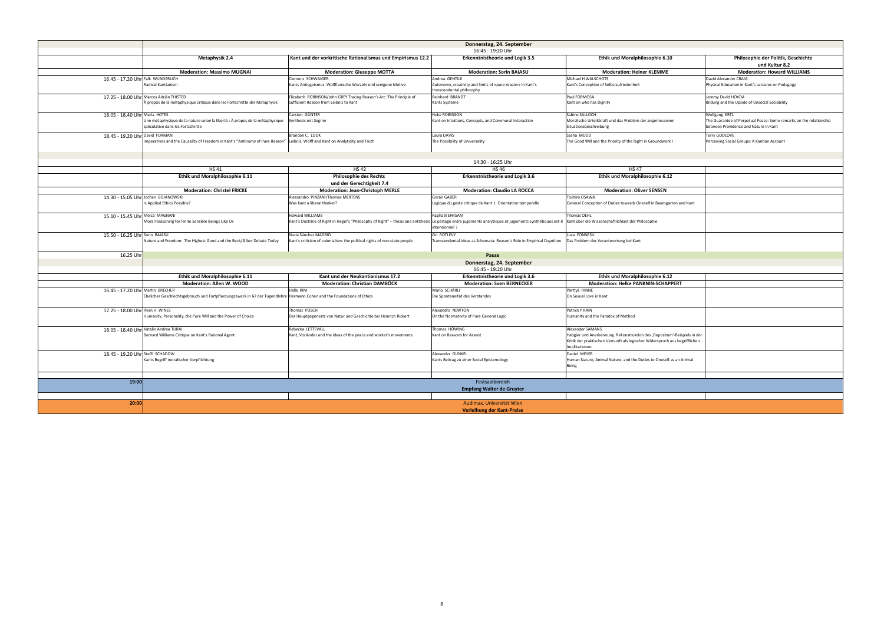|                                        | Donnerstag, 24. September                                                                                               |                                                                                                                                                                                                              |                                                                                         |                                                                                    |                                                                                                             |
|----------------------------------------|-------------------------------------------------------------------------------------------------------------------------|--------------------------------------------------------------------------------------------------------------------------------------------------------------------------------------------------------------|-----------------------------------------------------------------------------------------|------------------------------------------------------------------------------------|-------------------------------------------------------------------------------------------------------------|
|                                        |                                                                                                                         |                                                                                                                                                                                                              | 16:45 - 19:20 Uhr                                                                       |                                                                                    |                                                                                                             |
|                                        | <b>Metaphysik 2.4</b>                                                                                                   | Kant und der vorkritische Rationalismus und Empirismus 12.2                                                                                                                                                  | <b>Erkenntnistheorie und Logik 3.5</b>                                                  | Ethik und Moralphilosophie 6.10                                                    | Philosophie der Politik, Geschichte<br>und Kultur 8.2                                                       |
|                                        | <b>Moderation: Massimo MUGNAI</b>                                                                                       | <b>Moderation: Giuseppe MOTTA</b>                                                                                                                                                                            | <b>Moderation: Sorin BAIASU</b>                                                         | <b>Moderation: Heiner KLEMME</b>                                                   | <b>Moderation: Howard WILLIAMS</b>                                                                          |
| 16.45 - 17.20 Uhr Falk WUNDERLICH      |                                                                                                                         | Clemens SCHWAIGER                                                                                                                                                                                            | Andrea GENTILE                                                                          | Michael H WALSCHOTS                                                                | David Alexander CRAIG                                                                                       |
|                                        | <b>Radical Kantianism</b>                                                                                               | Kants Antiegoismus. Wolffianische Wurzeln und ureigene Motive                                                                                                                                                | Autonomy, creativity and limits of «pure reason» in Kant's<br>transcendental philosophy | Kant's Conception of Selbstzufriedenheit                                           | Physical Education in Kant's Lectures on Pedagogy                                                           |
|                                        | 17.25 - 18.00 Uhr Marcos Adrián THISTED                                                                                 | Elizabeth ROBINSON/John GREY Tracing Reason's Arc: The Principle of                                                                                                                                          | Reinhard BRANDT                                                                         | Paul FORMOSA                                                                       | Jeremy David HOVDA                                                                                          |
|                                        | À propos de la métaphysique critique dans les Fortschritte der Metaphysik                                               | Sufficient Reason from Leibniz to Kant                                                                                                                                                                       | Kants Systeme                                                                           | Kant on who has Dignity                                                            | Bildung and the Upside of Unsocial Sociability                                                              |
| 18.05 - 18.40 Uhr Maria HOTES          |                                                                                                                         | Carsten GÜNTER                                                                                                                                                                                               | Hoke ROBINSON                                                                           | Sabine SALLOCH                                                                     | <b>Wolfgang ERTL</b>                                                                                        |
|                                        | Une métaphysique de la nature selon la liberté : À propos de la métaphysique<br>spéculative dans les Fortschritte       | Synthesis mit Segner                                                                                                                                                                                         | Kant on Intuitions, Concepts, and Communal Interaction                                  | Moralische Urteilskraft und das Problem der angemessenen<br>Situationsbeschreibung | The Guarantee of Perpetual Peace: Some remarks on the relationship<br>between Providence and Nature in Kant |
| 18.45 - 19.20 Uhr David FORMAN         |                                                                                                                         | Brandon C. LOOK                                                                                                                                                                                              | Laura DAVIS                                                                             | Sasha MUDD                                                                         | Terry GODLOVE                                                                                               |
|                                        | Imperatives and the Causality of Freedom in Kant's "Antinomy of Pure Reason"                                            | Leibniz, Wolff and Kant on Analyticity and Truth                                                                                                                                                             | The Possibility of Universality                                                         | The Good Will and the Priority of the Right in Groundwork I                        | Perceiving Social Groups: A Kantian Account                                                                 |
|                                        |                                                                                                                         |                                                                                                                                                                                                              | 14:30 - 16:25 Uhr                                                                       |                                                                                    |                                                                                                             |
|                                        | <b>HS41</b>                                                                                                             | <b>HS42</b>                                                                                                                                                                                                  | <b>HS46</b>                                                                             | <b>HS47</b>                                                                        |                                                                                                             |
|                                        | Ethik und Moralphilosophie 6.11                                                                                         | <b>Philosophie des Rechts</b>                                                                                                                                                                                | <b>Erkenntnistheorie und Logik 3.6</b>                                                  | Ethik und Moralphilosophie 6.12                                                    |                                                                                                             |
|                                        |                                                                                                                         | und der Gerechtigkeit 7.4                                                                                                                                                                                    |                                                                                         |                                                                                    |                                                                                                             |
|                                        | <b>Moderation: Christel FRICKE</b>                                                                                      | <b>Moderation: Jean-Christoph MERLE</b>                                                                                                                                                                      | <b>Moderation: Claudio LA ROCCA</b>                                                     | <b>Moderation: Oliver SENSEN</b>                                                   |                                                                                                             |
| 14.30 - 15.05 Uhr Jochen BOJANOWSKI    |                                                                                                                         | Alessandro PINZANI/Thomas MERTENS                                                                                                                                                                            | Goran GABER                                                                             | Toshiro OSAWA                                                                      |                                                                                                             |
|                                        | Is Applied Ethics Possible?                                                                                             | Was Kant a liberal thinker?                                                                                                                                                                                  | Logique du geste critique de Kant: I. Orientation temporelle                            | General Conception of Duties towards Oneself in Baumgarten and Kant                |                                                                                                             |
| 15.10 - 15.45 Uhr Meica MAGNANI        |                                                                                                                         | Howard WILLIAMS                                                                                                                                                                                              | Raphaël EHRSAM                                                                          | Thomas OEHL                                                                        |                                                                                                             |
|                                        | Moral Reasoning for Finite Sensible Beings Like Us                                                                      | Kant's Doctrine of Right in Hegel's "Philosophy of Right" – thesis and antithesis Le partage entre jugements analytiques et jugements synthétiques est-il Kant über die Wissenschaftlichkeit der Philosophie | intensionnel?                                                                           |                                                                                    |                                                                                                             |
| 15.50 - 16.25 Uhr Sorin BAIASU         | Nature and Freedom: The Highest Good and the Beck/Silber Debate Today                                                   | Nuria Sánchez MADRID<br>Kant's criticism of colonialism: the political rights of non-state people                                                                                                            | Ori ROTLEVY<br>Transcendental Ideas as Schemata: Reason's Role in Empirical Cognition   | Luca FONNESU<br>Das Problem der Verantwortung bei Kant                             |                                                                                                             |
| 16.25 Uhr                              | Pause                                                                                                                   |                                                                                                                                                                                                              |                                                                                         |                                                                                    |                                                                                                             |
|                                        |                                                                                                                         |                                                                                                                                                                                                              |                                                                                         |                                                                                    |                                                                                                             |
|                                        |                                                                                                                         | Donnerstag, 24. September<br>16:45 - 19:20 Uhr                                                                                                                                                               |                                                                                         |                                                                                    |                                                                                                             |
|                                        | Ethik und Moralphilosophie 6.11                                                                                         | Kant und der Neukantianismus 17.2                                                                                                                                                                            | <b>Erkenntnistheorie und Logik 3.6</b>                                                  | Ethik und Moralphilosophie 6.12                                                    |                                                                                                             |
|                                        | <b>Moderation: Allen W. WOOD</b>                                                                                        | <b>Moderation: Christian DAMBÖCK</b>                                                                                                                                                                         | <b>Moderation: Sven BERNECKER</b>                                                       | <b>Moderation: Helke PANKNIN-SCHAPPERT</b>                                         |                                                                                                             |
| 16.45 - 17.20 Uhr Martin BRECHER       |                                                                                                                         | Halla KIM                                                                                                                                                                                                    | Mario SCHÄRLI                                                                           | Pärttyli RINNE                                                                     |                                                                                                             |
|                                        | Ehelicher Geschlechtsgebrauch und Fortpflanzungszweck in §7 der Tugendlehre Hermann Cohen and the Foundations of Ethics |                                                                                                                                                                                                              | Die Spontaneität des Verstandes                                                         | On Sexual Love in Kant                                                             |                                                                                                             |
|                                        |                                                                                                                         |                                                                                                                                                                                                              |                                                                                         |                                                                                    |                                                                                                             |
| 17.25 - 18.00 Uhr Ryan H. WINES        | Humanity, Personality, the Pure Will and the Power of Choice                                                            | Thomas POSCH<br>Der Hauptgegensatz von Natur und Geschichte bei Heinrich Rickert                                                                                                                             | Alexandra NEWTON<br>On the Normativity of Pure General Logic                            | <b>Patrick P KAIN</b><br>Humanity and the Paradox of Method                        |                                                                                                             |
| 18.05 - 18.40 Uhr Katalin Andrea TURAI |                                                                                                                         | Rebecka LETTEVALL                                                                                                                                                                                            | Thomas HÖWING                                                                           | Alexander SAMANS                                                                   |                                                                                                             |
|                                        | Bernard Williams Critique on Kant's Rational Agent                                                                      | Kant, Vorländer and the ideas of the peace and worker's movements                                                                                                                                            | Kant on Reasons for Assent                                                              | Habgier und Anerkennung. Rekonstruktion des ,Depositum'-Beispiels in der           |                                                                                                             |
|                                        |                                                                                                                         |                                                                                                                                                                                                              |                                                                                         | Kritik der praktischen Vernunft als logischer Widerspruch aus begrifflichen        |                                                                                                             |
|                                        |                                                                                                                         |                                                                                                                                                                                                              |                                                                                         | Implikationen.                                                                     |                                                                                                             |
| 18.45 - 19.20 Uhr Steffi SCHADOW       |                                                                                                                         |                                                                                                                                                                                                              | Alexander GUNKEL                                                                        | Daniel MEYER                                                                       |                                                                                                             |
|                                        | Kants Begriff moralischer Verpflichtung                                                                                 |                                                                                                                                                                                                              | Kants Beitrag zu einer Social Epistemology                                              | Human Nature, Animal Nature, and the Duties to Oneself as an Animal                |                                                                                                             |
|                                        |                                                                                                                         |                                                                                                                                                                                                              |                                                                                         | Being                                                                              |                                                                                                             |
| 19:00                                  |                                                                                                                         |                                                                                                                                                                                                              | Festsaalbereich                                                                         |                                                                                    |                                                                                                             |
|                                        |                                                                                                                         |                                                                                                                                                                                                              | <b>Empfang Walter de Gruyter</b>                                                        |                                                                                    |                                                                                                             |
|                                        |                                                                                                                         |                                                                                                                                                                                                              |                                                                                         |                                                                                    |                                                                                                             |
| 20:00                                  |                                                                                                                         |                                                                                                                                                                                                              | Audimax, Universität Wien                                                               |                                                                                    |                                                                                                             |
|                                        |                                                                                                                         |                                                                                                                                                                                                              | Verleihung der Kant-Preise                                                              |                                                                                    |                                                                                                             |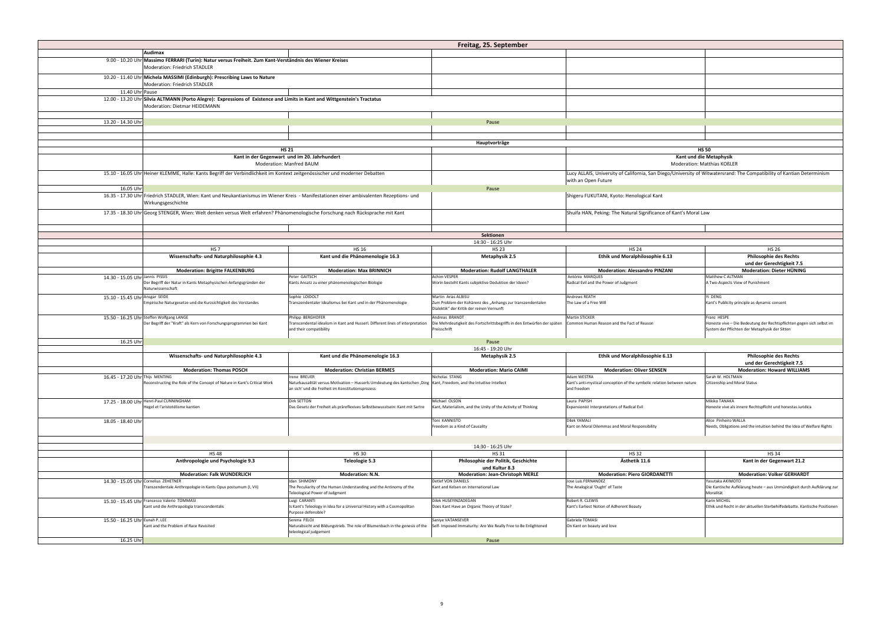|                                 |                                                                                                                                                                |                                                                                                                                                                             | Freitag, 25. September                                                                                                         |                                                                                                                        |                                                                                                                                        |
|---------------------------------|----------------------------------------------------------------------------------------------------------------------------------------------------------------|-----------------------------------------------------------------------------------------------------------------------------------------------------------------------------|--------------------------------------------------------------------------------------------------------------------------------|------------------------------------------------------------------------------------------------------------------------|----------------------------------------------------------------------------------------------------------------------------------------|
|                                 | Audimax                                                                                                                                                        |                                                                                                                                                                             |                                                                                                                                |                                                                                                                        |                                                                                                                                        |
|                                 | 9.00 - 10.20 Uhr Massimo FERRARI (Turin): Natur versus Freiheit. Zum Kant-Verständnis des Wiener Kreises<br>Moderation: Friedrich STADLER                      |                                                                                                                                                                             |                                                                                                                                |                                                                                                                        |                                                                                                                                        |
|                                 | 10.20 - 11.40 Uhr Michela MASSIMI (Edinburgh): Prescribing Laws to Nature<br>Moderation: Friedrich STADLER                                                     |                                                                                                                                                                             |                                                                                                                                |                                                                                                                        |                                                                                                                                        |
| 11.40 Uhr Pause                 |                                                                                                                                                                |                                                                                                                                                                             |                                                                                                                                |                                                                                                                        |                                                                                                                                        |
|                                 | 12.00 - 13.20 Uhr Sílvia ALTMANN (Porto Alegre): Expressions of Existence and Limits in Kant and Wittgenstein's Tractatus<br>Moderation: Dietmar HEIDEMANN     |                                                                                                                                                                             |                                                                                                                                |                                                                                                                        |                                                                                                                                        |
|                                 |                                                                                                                                                                |                                                                                                                                                                             |                                                                                                                                |                                                                                                                        |                                                                                                                                        |
| 13.20 - 14.30 Uhr               |                                                                                                                                                                |                                                                                                                                                                             | Pause                                                                                                                          |                                                                                                                        |                                                                                                                                        |
|                                 |                                                                                                                                                                |                                                                                                                                                                             |                                                                                                                                |                                                                                                                        |                                                                                                                                        |
|                                 |                                                                                                                                                                |                                                                                                                                                                             | Hauptvorträge                                                                                                                  |                                                                                                                        |                                                                                                                                        |
|                                 | Kant in der Gegenwart und im 20. Jahrhundert                                                                                                                   | <b>HS 21</b>                                                                                                                                                                |                                                                                                                                |                                                                                                                        | <b>HS 50</b><br>Kant und die Metaphysik                                                                                                |
|                                 | <b>Moderation: Manfred BAUM</b>                                                                                                                                |                                                                                                                                                                             |                                                                                                                                |                                                                                                                        | <b>Moderation: Matthias KOßLER</b>                                                                                                     |
|                                 | 15.10 - 16.05 Uhr Heiner KLEMME, Halle: Kants Begriff der Verbindlichkeit im Kontext zeitgenössischer und moderner Debatten                                    |                                                                                                                                                                             |                                                                                                                                | Lucy ALLAIS, University of California, San Diego/University of Witwatersrand: The Compatibility of Kantian Determinism |                                                                                                                                        |
|                                 |                                                                                                                                                                |                                                                                                                                                                             |                                                                                                                                | with an Open Future                                                                                                    |                                                                                                                                        |
| 16.05 Uhr                       |                                                                                                                                                                |                                                                                                                                                                             | Pause                                                                                                                          |                                                                                                                        |                                                                                                                                        |
|                                 | 16.35 - 17.30 Uhr Friedrich STADLER, Wien: Kant und Neukantianismus im Wiener Kreis - Manifestationen einer ambivalenten Rezeptions- und<br>Wirkungsgeschichte |                                                                                                                                                                             |                                                                                                                                | Shigeru FUKUTANI, Kyoto: Henological Kant                                                                              |                                                                                                                                        |
|                                 | 17.35 - 18.30 Uhr Georg STENGER, Wien: Welt denken versus Welt erfahren? Phänomenologische Forschung nach Rücksprache mit Kant                                 |                                                                                                                                                                             |                                                                                                                                | Shuifa HAN, Peking: The Natural Significance of Kant's Moral Law                                                       |                                                                                                                                        |
|                                 |                                                                                                                                                                |                                                                                                                                                                             |                                                                                                                                |                                                                                                                        |                                                                                                                                        |
|                                 |                                                                                                                                                                |                                                                                                                                                                             | <b>Sektionen</b>                                                                                                               |                                                                                                                        |                                                                                                                                        |
|                                 |                                                                                                                                                                |                                                                                                                                                                             | 14:30 - 16:25 Uhr                                                                                                              |                                                                                                                        |                                                                                                                                        |
|                                 | <b>HS7</b>                                                                                                                                                     | <b>HS 16</b>                                                                                                                                                                | <b>HS 23</b>                                                                                                                   | <b>HS 24</b>                                                                                                           | <b>HS 26</b>                                                                                                                           |
|                                 | Wissenschafts- und Naturphilosophie 4.3                                                                                                                        | Kant und die Phänomenologie 16.3                                                                                                                                            | <b>Metaphysik 2.5</b>                                                                                                          | Ethik und Moralphilosophie 6.13                                                                                        | <b>Philosophie des Rechts</b><br>und der Gerechtigkeit 7.5                                                                             |
|                                 | <b>Moderation: Brigitte FALKENBURG</b>                                                                                                                         | <b>Moderation: Max BRINNICH</b>                                                                                                                                             | <b>Moderation: Rudolf LANGTHALER</b>                                                                                           | <b>Moderation: Alessandro PINZANI</b>                                                                                  | <b>Moderation: Dieter HÜNING</b>                                                                                                       |
| 14.30 - 15.05 Uhr Jannis PISSIS | Der Begriff der Natur in Kants Metaphysischen Anfangsgründen der<br>Naturwissenschaft                                                                          | Peter GAITSCH<br>Kants Ansatz zu einer phänomenologischen Biologie                                                                                                          | <b>Achim VESPER</b><br>Worin besteht Kants subjektive Deduktion der Ideen?                                                     | António MAROUES<br>Radical Evil and the Power of Judgment                                                              | Matthew C ALTMAN<br>A Two-Aspects View of Punishment                                                                                   |
| 15.10 - 15.45 Uhr Ansgar SEIDE  | Empirische Naturgesetze und die Kurzsichtigkeit des Verstandes                                                                                                 | Sophie LOIDOLT<br>Transzendentaler Idealismus bei Kant und in der Phänomenologie                                                                                            | Martin Arias ALBISU<br>Zum Problem der Kohärenz des "Anhangs zur transzendentalen<br>Dialektik" der Kritik der reinen Vernunft | Andrews REATH<br>The Law of a Free Will                                                                                | Yi DENG<br>Kant's Publicity principle as dynamic consent                                                                               |
|                                 | 15.50 - 16.25 Uhr Steffen Wolfgang LANGE<br>Der Begriff der "Kraft" als Kern von Forschungsprogrammen bei Kant                                                 | Philipp BERGHOFER<br>Transcendental idealism in Kant and Husserl. Different lines of interpretation<br>and their compatibility                                              | Andreas BRANDT<br>Die Mehrdeutigkeit des Fortschrittsbegriffs in den Entwürfen der späten<br>Preisschrift                      | Martin STICKER<br>Common Human Reason and the Fact of Reason                                                           | Franz HESPE<br>Honeste vive - Die Bedeutung der Rechtspflichten gegen sich selbst im<br>System der Pflichten der Metaphysik der Sitten |
| 16.25 Uhr                       | Pause                                                                                                                                                          |                                                                                                                                                                             |                                                                                                                                |                                                                                                                        |                                                                                                                                        |
|                                 |                                                                                                                                                                |                                                                                                                                                                             | 16:45 - 19:20 Uhr                                                                                                              |                                                                                                                        |                                                                                                                                        |
|                                 | Wissenschafts- und Naturphilosophie 4.3                                                                                                                        | Kant und die Phänomenologie 16.3                                                                                                                                            | <b>Metaphysik 2.5</b>                                                                                                          | Ethik und Moralphilosophie 6.13                                                                                        | <b>Philosophie des Rechts</b>                                                                                                          |
|                                 | <b>Moderation: Thomas POSCH</b>                                                                                                                                | <b>Moderation: Christian BERMES</b>                                                                                                                                         | <b>Moderation: Mario CAIMI</b>                                                                                                 | <b>Moderation: Oliver SENSEN</b>                                                                                       | und der Gerechtigkeit 7.5<br><b>Moderation: Howard WILLIAMS</b>                                                                        |
| 16.45 - 17.20 Uhr Thijs MENTING |                                                                                                                                                                | Irene BREUER                                                                                                                                                                | Nicholas STANG                                                                                                                 | Adam WESTRA                                                                                                            | Sarah W. HOLTMAN                                                                                                                       |
|                                 | Reconstructing the Role of the Concept of Nature in Kant's Critical Work                                                                                       | Naturkausalität versus Motivation - Husserls Umdeutung des kantschen ,Ding  Kant, Freedom, and the Intuitive Intellect<br>an sich' und die Freiheit im Konstitutionsprozess |                                                                                                                                | Kant's anti-mystical conception of the symbolic relation between nature<br>and freedom                                 | <b>Citizenship and Moral Status</b>                                                                                                    |
|                                 | 17.25 - 18.00 Uhr Henri-Paul CUNNINGHAM<br>Hegel et l'aristotélisme kantien                                                                                    | Dirk SETTON<br>Das Gesetz der Freiheit als präreflexives Selbstbewusstsein: Kant mit Sartre                                                                                 | Michael OLSON<br>Kant, Materialism, and the Unity of the Activity of Thinking                                                  | Laura PAPISH<br>Expansionist Interpretations of Radical Evil                                                           | Mikiko TANAKA<br>Honeste vive als innere Rechtspflicht und honestas iuridica                                                           |
| 18.05 - 18.40 Uhr               |                                                                                                                                                                |                                                                                                                                                                             | Toni KANNISTO<br>Freedom as a Kind of Causality                                                                                | Dilek YAMALI<br>Kant on Moral Dilemmas and Moral Responsibility                                                        | Alice Pinheiro WALLA<br>Needs, Obligations and the intuition behind the Idea of Welfare Rights                                         |
|                                 |                                                                                                                                                                |                                                                                                                                                                             |                                                                                                                                |                                                                                                                        |                                                                                                                                        |
|                                 | 14:30 - 16:25 Uhr                                                                                                                                              |                                                                                                                                                                             |                                                                                                                                |                                                                                                                        |                                                                                                                                        |
|                                 | <b>HS48</b>                                                                                                                                                    | <b>HS 30</b>                                                                                                                                                                | <b>HS31</b>                                                                                                                    | <b>HS32</b>                                                                                                            | <b>HS34</b>                                                                                                                            |
|                                 | Anthropologie und Psychologie 9.3                                                                                                                              | Teleologie 5.3                                                                                                                                                              | Philosophie der Politik, Geschichte<br>und Kultur 8.3                                                                          | Ästhetik 11.6                                                                                                          | Kant in der Gegenwart 21.2                                                                                                             |
|                                 | <b>Moderation: Falk WUNDERLICH</b>                                                                                                                             | <b>Moderation: N.N.</b>                                                                                                                                                     | <b>Moderation: Jean-Christoph MERLE</b>                                                                                        | <b>Moderation: Piero GIORDANETTI</b>                                                                                   | <b>Moderation: Volker GERHARDT</b>                                                                                                     |
|                                 | 14.30 - 15.05 Uhr Cornelius ZEHETNER<br>Transzendentale Anthropologie in Kants Opus postumum (I, VII)                                                          | Idan SHIMONY<br>The Peculiarity of the Human Understanding and the Antinomy of the<br>Teleological Power of Judgment                                                        | Detlef VON DANIELS<br>Kant and Kelsen on International Law                                                                     | Jose Luis FERNANDEZ<br>The Analogical 'Ought' of Taste                                                                 | Yasutaka AKIMOTO<br>Die Kantische Aufklärung heute - aus Unmündigkeit durch Aufklärung zur<br>Moralität                                |
|                                 | 15.10 - 15.45 Uhr Francesco Valerio TOMMASI<br>Kant und die Anthropologia transcendentalis                                                                     | Luigi CARANTI<br>Is Kant's Teleology in Idea for a Universal History with a Cosmopolitan<br>Purpose defensible?                                                             | Dilek HUSEYINZADEGAN<br>Does Kant Have an Organic Theory of State?                                                             | Robert R. CLEWIS<br>Kant's Earliest Notion of Adherent Beauty                                                          | Karin MICHEL<br>Ethik und Recht in der aktuellen Sterbehilfedebatte. Kantische Positionen                                              |
| 15.50 - 16.25 Uhr Eunah P. LEE  | Kant and the Problem of Race Revisited                                                                                                                         | Serena FELOJ<br>Naturabsicht and Bildungstrieb. The role of Blumenbach in the genesis of the<br>teleological judgement                                                      | Saniye VATANSEVER<br>Self- Imposed Immaturity: Are We Really Free to Be Enlightened                                            | Gabriele TOMASI<br>On Kant on beauty and love                                                                          |                                                                                                                                        |
| 16.25 Uhr                       |                                                                                                                                                                |                                                                                                                                                                             | Pause                                                                                                                          |                                                                                                                        |                                                                                                                                        |
|                                 |                                                                                                                                                                |                                                                                                                                                                             |                                                                                                                                |                                                                                                                        |                                                                                                                                        |